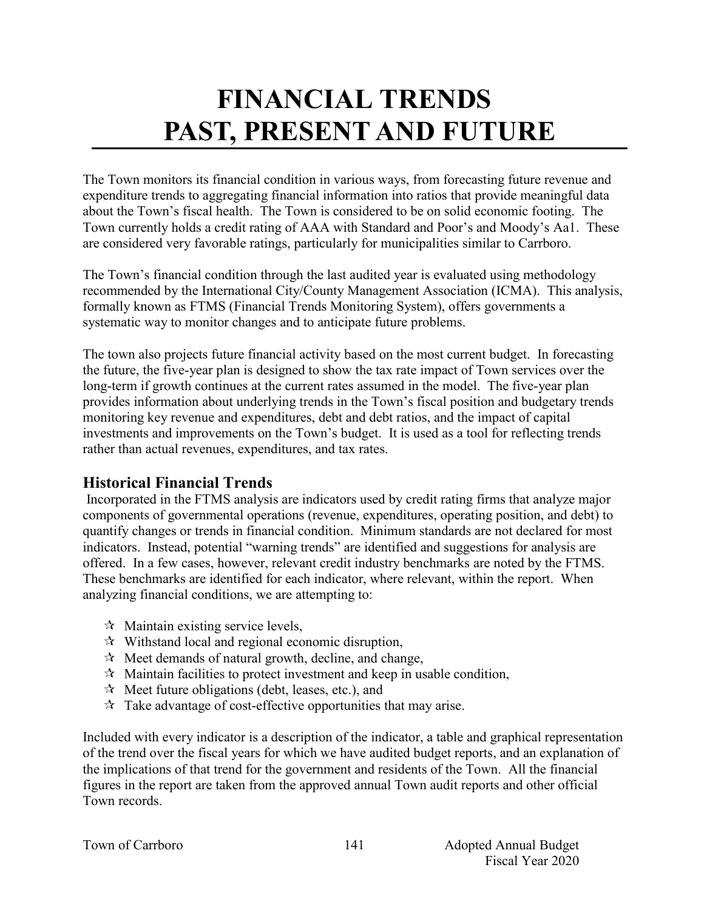# **FINANCIAL TRENDS PAST, PRESENT AND FUTURE**

The Town monitors its financial condition in various ways, from forecasting future revenue and expenditure trends to aggregating financial information into ratios that provide meaningful data about the Town's fiscal health. The Town is considered to be on solid economic footing. The Town currently holds a credit rating of AAA with Standard and Poor's and Moody's Aa1. These are considered very favorable ratings, particularly for municipalities similar to Carrboro.

The Town's financial condition through the last audited year is evaluated using methodology recommended by the International City/County Management Association (ICMA). This analysis, formally known as FTMS (Financial Trends Monitoring System), offers governments a systematic way to monitor changes and to anticipate future problems.

The town also projects future financial activity based on the most current budget. In forecasting the future, the five-year plan is designed to show the tax rate impact of Town services over the long-term if growth continues at the current rates assumed in the model. The five-year plan provides information about underlying trends in the Town's fiscal position and budgetary trends monitoring key revenue and expenditures, debt and debt ratios, and the impact of capital investments and improvements on the Town's budget. It is used as a tool for reflecting trends rather than actual revenues, expenditures, and tax rates.

# **Historical Financial Trends**

Incorporated in the FTMS analysis are indicators used by credit rating firms that analyze major components of governmental operations (revenue, expenditures, operating position, and debt) to quantify changes or trends in financial condition. Minimum standards are not declared for most indicators. Instead, potential "warning trends" are identified and suggestions for analysis are offered. In a few cases, however, relevant credit industry benchmarks are noted by the FTMS. These benchmarks are identified for each indicator, where relevant, within the report. When analyzing financial conditions, we are attempting to:

- $\mathcal{A}$  Maintain existing service levels,
- $\mathcal{R}$  Withstand local and regional economic disruption,
- $\mathcal{R}$  Meet demands of natural growth, decline, and change,
- $\mathbf{\hat{x}}$  Maintain facilities to protect investment and keep in usable condition,
- $\mathcal{R}$  Meet future obligations (debt, leases, etc.), and
- $\mathcal{R}$  Take advantage of cost-effective opportunities that may arise.

Included with every indicator is a description of the indicator, a table and graphical representation of the trend over the fiscal years for which we have audited budget reports, and an explanation of the implications of that trend for the government and residents of the Town. All the financial figures in the report are taken from the approved annual Town audit reports and other official Town records.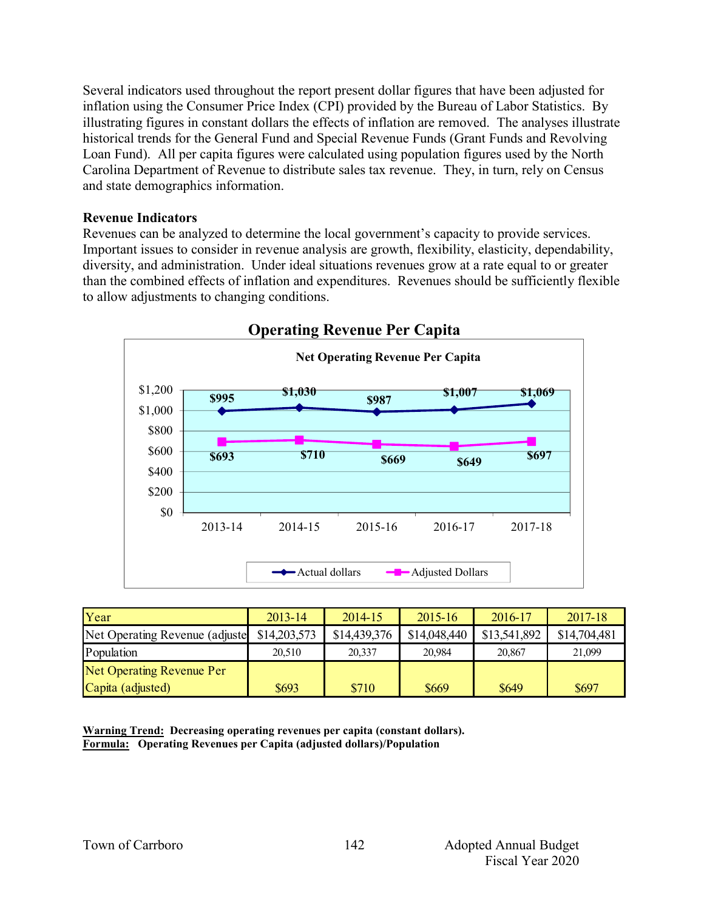Several indicators used throughout the report present dollar figures that have been adjusted for inflation using the Consumer Price Index (CPI) provided by the Bureau of Labor Statistics. By illustrating figures in constant dollars the effects of inflation are removed. The analyses illustrate historical trends for the General Fund and Special Revenue Funds (Grant Funds and Revolving Loan Fund). All per capita figures were calculated using population figures used by the North Carolina Department of Revenue to distribute sales tax revenue. They, in turn, rely on Census and state demographics information.

#### **Revenue Indicators**

Revenues can be analyzed to determine the local government's capacity to provide services. Important issues to consider in revenue analysis are growth, flexibility, elasticity, dependability, diversity, and administration. Under ideal situations revenues grow at a rate equal to or greater than the combined effects of inflation and expenditures. Revenues should be sufficiently flexible to allow adjustments to changing conditions.



| Year                            | $2013 - 14$  | $2014 - 15$  | $2015 - 16$  | 2016-17      | 2017-18      |
|---------------------------------|--------------|--------------|--------------|--------------|--------------|
| Net Operating Revenue (adjuste) | \$14,203,573 | \$14,439,376 | \$14,048,440 | \$13,541,892 | \$14,704,481 |
| Population                      | 20.510       | 20,337       | 20.984       | 20,867       | 21,099       |
| Net Operating Revenue Per       |              |              |              |              |              |
| Capita (adjusted)               | \$693        | \$710        | \$669        | \$649        | \$697        |

**Warning Trend: Decreasing operating revenues per capita (constant dollars). Formula: Operating Revenues per Capita (adjusted dollars)/Population**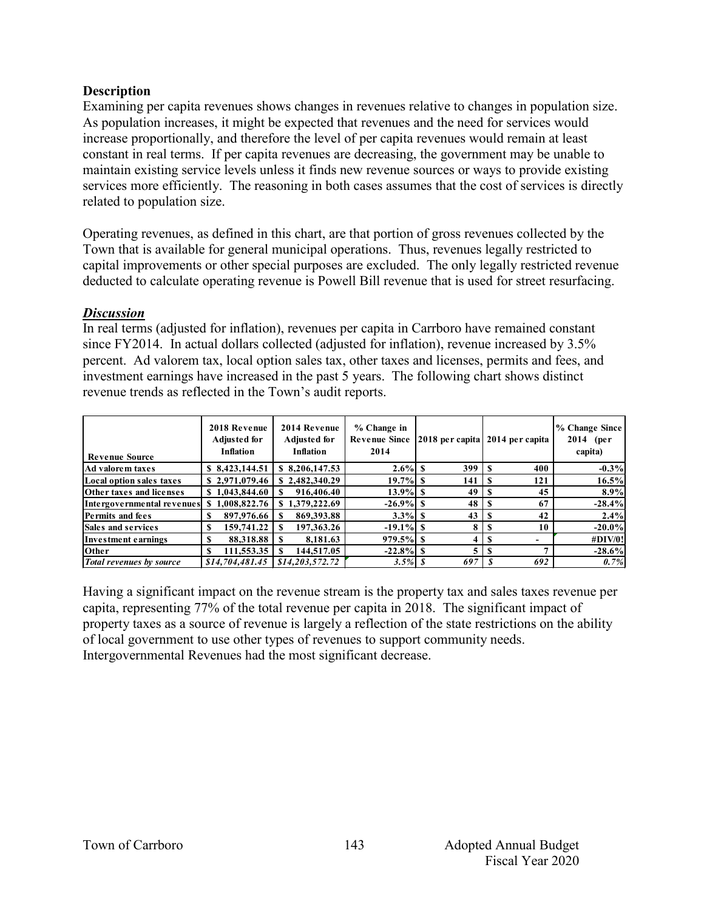#### **Description**

Examining per capita revenues shows changes in revenues relative to changes in population size. As population increases, it might be expected that revenues and the need for services would increase proportionally, and therefore the level of per capita revenues would remain at least constant in real terms. If per capita revenues are decreasing, the government may be unable to maintain existing service levels unless it finds new revenue sources or ways to provide existing services more efficiently. The reasoning in both cases assumes that the cost of services is directly related to population size.

Operating revenues, as defined in this chart, are that portion of gross revenues collected by the Town that is available for general municipal operations. Thus, revenues legally restricted to capital improvements or other special purposes are excluded. The only legally restricted revenue deducted to calculate operating revenue is Powell Bill revenue that is used for street resurfacing.

#### *Discussion*

In real terms (adjusted for inflation), revenues per capita in Carrboro have remained constant since FY2014. In actual dollars collected (adjusted for inflation), revenue increased by 3.5% percent. Ad valorem tax, local option sales tax, other taxes and licenses, permits and fees, and investment earnings have increased in the past 5 years. The following chart shows distinct revenue trends as reflected in the Town's audit reports.

| <b>Revenue Source</b>           | 2018 Revenue<br>Adjusted for<br><b>Inflation</b> | 2014 Revenue<br>Adjusted for<br><b>Inflation</b> | % Change in<br><b>Revenue Since</b><br>2014 |     | [2018 per capita] 2014 per capita | % Change Since<br>$2014$ (per<br>capita) |
|---------------------------------|--------------------------------------------------|--------------------------------------------------|---------------------------------------------|-----|-----------------------------------|------------------------------------------|
| Ad valorem taxes                | \$8,423,144.51                                   | \$ 8,206,147.53                                  | $2.6\%$ S                                   | 399 | 400                               | $-0.3\%$                                 |
| Local option sales taxes        | \$2,971,079.46                                   | \$2,482,340.29                                   | $19.7\%$ S                                  | 141 | 121                               | 16.5%                                    |
| Other taxes and licenses        | \$1,043,844.60                                   | 916,406.40                                       | $13.9\%$ S                                  | 49  | 45                                | 8.9%                                     |
| Intergovernmental revenues      | \$1,008,822.76                                   | 1,379,222.69<br>S.                               | $-26.9\%$ S                                 | 48  | 67                                | $-28.4%$                                 |
| <b>Permits and fees</b>         | 897,976.66<br>S                                  | 869, 393.88                                      | $3.3\%$ S                                   | 43  | 42                                | 2.4%                                     |
| <b>Sales and services</b>       | 159,741.22<br>S                                  | 197, 363, 26                                     | $-19.1\%$ S                                 | 8   | 10                                | $-20.0\%$                                |
| Investment earnings             | 88,318.88<br>S                                   | 8.181.63                                         |                                             | 4   | $\overline{\phantom{0}}$<br>ъ     | #DIV/0!                                  |
| Other                           | 111,553.35<br>S                                  | 144,517.05                                       |                                             |     |                                   | $-28.6%$                                 |
| <b>Total revenues by source</b> | \$14,704,481,45                                  | \$14,203,572,72                                  | $3.5\%$ \$                                  | 697 | 692                               | 0.7%                                     |

Having a significant impact on the revenue stream is the property tax and sales taxes revenue per capita, representing 77% of the total revenue per capita in 2018. The significant impact of property taxes as a source of revenue is largely a reflection of the state restrictions on the ability of local government to use other types of revenues to support community needs. Intergovernmental Revenues had the most significant decrease.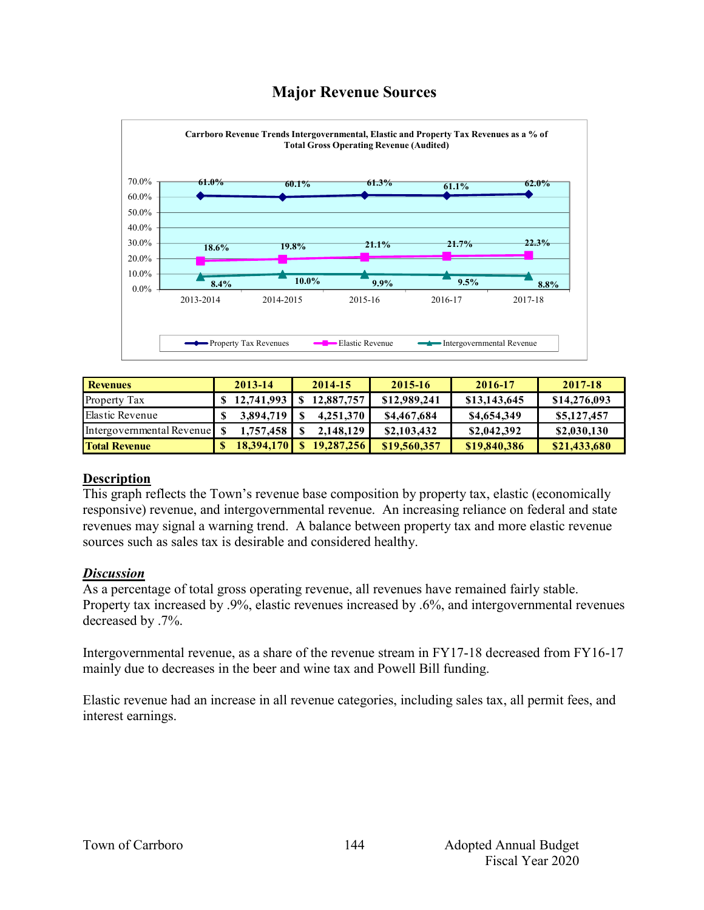# **Major Revenue Sources**



| <b>Revenues</b>           | 2013-14                        | 2014-15      | $2015 - 16$  | 2016-17      | 2017-18      |
|---------------------------|--------------------------------|--------------|--------------|--------------|--------------|
| Property Tax              | $$12,741,993 \mid $12,887,757$ |              | \$12,989,241 | \$13,143,645 | \$14,276,093 |
| Elastic Revenue           | 3.894.719                      | 4,251,370    | \$4,467,684  | \$4,654,349  | \$5,127,457  |
| Intergovernmental Revenue | 1,757,458                      | 2,148,129    | \$2,103,432  | \$2,042,392  | \$2,030,130  |
| <b>Total Revenue</b>      | 18.394.170                     | \$19,287,256 | \$19,560,357 | \$19,840,386 | \$21,433,680 |

#### **Description**

This graph reflects the Town's revenue base composition by property tax, elastic (economically responsive) revenue, and intergovernmental revenue. An increasing reliance on federal and state revenues may signal a warning trend. A balance between property tax and more elastic revenue sources such as sales tax is desirable and considered healthy.

#### *Discussion*

As a percentage of total gross operating revenue, all revenues have remained fairly stable. Property tax increased by .9%, elastic revenues increased by .6%, and intergovernmental revenues decreased by .7%.

Intergovernmental revenue, as a share of the revenue stream in FY17-18 decreased from FY16-17 mainly due to decreases in the beer and wine tax and Powell Bill funding.

Elastic revenue had an increase in all revenue categories, including sales tax, all permit fees, and interest earnings.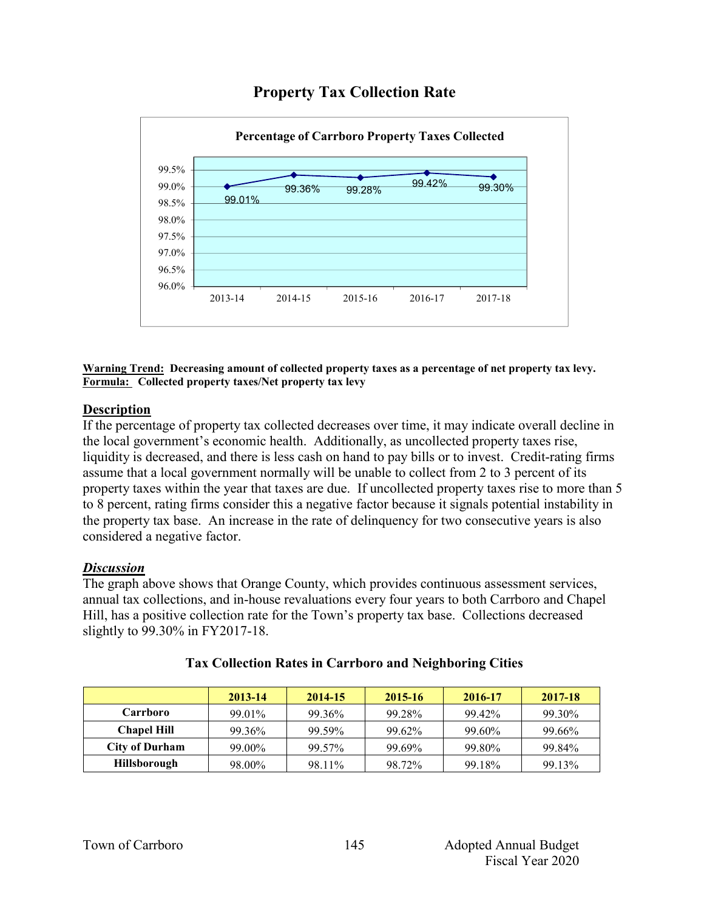

# **Property Tax Collection Rate**

**Warning Trend: Decreasing amount of collected property taxes as a percentage of net property tax levy. Formula: Collected property taxes/Net property tax levy**

#### **Description**

If the percentage of property tax collected decreases over time, it may indicate overall decline in the local government's economic health. Additionally, as uncollected property taxes rise, liquidity is decreased, and there is less cash on hand to pay bills or to invest. Credit-rating firms assume that a local government normally will be unable to collect from 2 to 3 percent of its property taxes within the year that taxes are due. If uncollected property taxes rise to more than 5 to 8 percent, rating firms consider this a negative factor because it signals potential instability in the property tax base. An increase in the rate of delinquency for two consecutive years is also considered a negative factor.

#### *Discussion*

The graph above shows that Orange County, which provides continuous assessment services, annual tax collections, and in-house revaluations every four years to both Carrboro and Chapel Hill, has a positive collection rate for the Town's property tax base. Collections decreased slightly to 99.30% in FY2017-18.

|                       | 2013-14 | 2014-15 | 2015-16 | 2016-17 | 2017-18 |
|-----------------------|---------|---------|---------|---------|---------|
| Carrboro              | 99.01%  | 99.36%  | 99.28%  | 99.42%  | 99.30%  |
| <b>Chapel Hill</b>    | 99.36%  | 99.59%  | 99.62%  | 99.60%  | 99.66%  |
| <b>City of Durham</b> | 99.00%  | 99.57%  | 99.69%  | 99.80%  | 99.84%  |
| <b>Hillsborough</b>   | 98.00%  | 98.11%  | 98.72%  | 99.18%  | 99.13%  |

# **Tax Collection Rates in Carrboro and Neighboring Cities**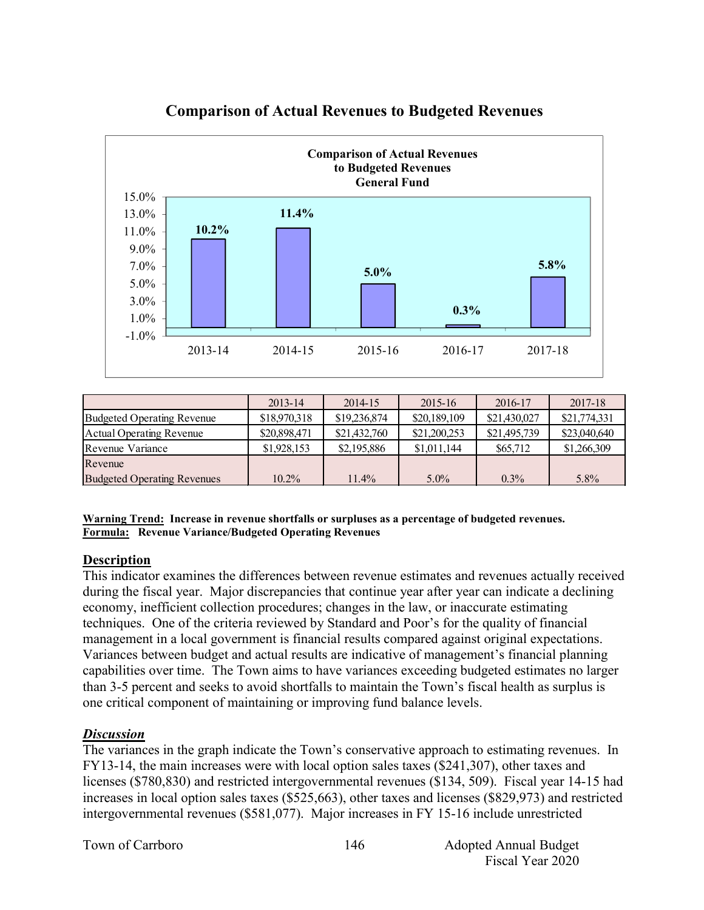

# **Comparison of Actual Revenues to Budgeted Revenues**

|                                    | $2013 - 14$  | 2014-15      | $2015 - 16$  | 2016-17      | 2017-18      |
|------------------------------------|--------------|--------------|--------------|--------------|--------------|
| Budgeted Operating Revenue         | \$18,970,318 | \$19,236,874 | \$20,189,109 | \$21,430,027 | \$21,774,331 |
| Actual Operating Revenue           | \$20,898,471 | \$21,432,760 | \$21,200,253 | \$21,495,739 | \$23,040,640 |
| Revenue Variance                   | \$1,928,153  | \$2,195,886  | \$1,011,144  | \$65,712     | \$1,266,309  |
| Revenue                            |              |              |              |              |              |
| <b>Budgeted Operating Revenues</b> | $10.2\%$     | 11.4%        | $5.0\%$      | $0.3\%$      | $5.8\%$      |

**Warning Trend: Increase in revenue shortfalls or surpluses as a percentage of budgeted revenues. Formula: Revenue Variance/Budgeted Operating Revenues**

#### **Description**

This indicator examines the differences between revenue estimates and revenues actually received during the fiscal year. Major discrepancies that continue year after year can indicate a declining economy, inefficient collection procedures; changes in the law, or inaccurate estimating techniques. One of the criteria reviewed by Standard and Poor's for the quality of financial management in a local government is financial results compared against original expectations. Variances between budget and actual results are indicative of management's financial planning capabilities over time. The Town aims to have variances exceeding budgeted estimates no larger than 3-5 percent and seeks to avoid shortfalls to maintain the Town's fiscal health as surplus is one critical component of maintaining or improving fund balance levels.

#### *Discussion*

The variances in the graph indicate the Town's conservative approach to estimating revenues. In FY13-14, the main increases were with local option sales taxes (\$241,307), other taxes and licenses (\$780,830) and restricted intergovernmental revenues (\$134, 509). Fiscal year 14-15 had increases in local option sales taxes (\$525,663), other taxes and licenses (\$829,973) and restricted intergovernmental revenues (\$581,077). Major increases in FY 15-16 include unrestricted

Town of Carrboro 146 annual Budget Annual Budget Fiscal Year 2020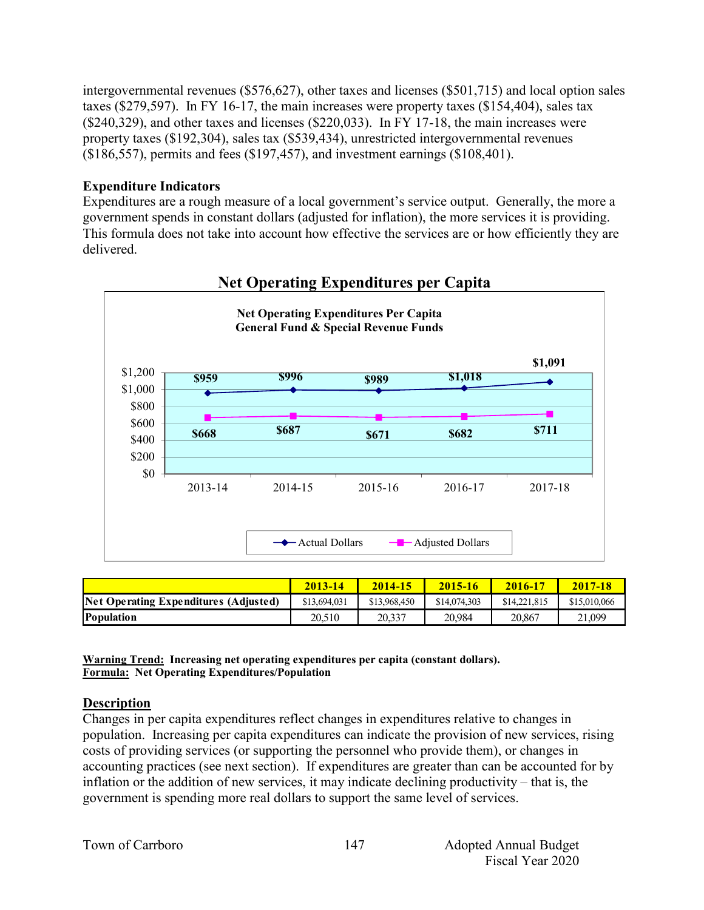intergovernmental revenues (\$576,627), other taxes and licenses (\$501,715) and local option sales taxes (\$279,597). In FY 16-17, the main increases were property taxes (\$154,404), sales tax (\$240,329), and other taxes and licenses (\$220,033). In FY 17-18, the main increases were property taxes (\$192,304), sales tax (\$539,434), unrestricted intergovernmental revenues (\$186,557), permits and fees (\$197,457), and investment earnings (\$108,401).

#### **Expenditure Indicators**

Expenditures are a rough measure of a local government's service output. Generally, the more a government spends in constant dollars (adjusted for inflation), the more services it is providing. This formula does not take into account how effective the services are or how efficiently they are delivered.



# **Net Operating Expenditures per Capita**

|                                       | 2013-14      | $2014 - 15$  | 2015-16      | 2016-17      | 2017-18      |
|---------------------------------------|--------------|--------------|--------------|--------------|--------------|
| Net Operating Expenditures (Adjusted) | \$13,694,031 | \$13,968,450 | \$14,074,303 | \$14,221,815 | \$15,010,066 |
| <b>Population</b>                     | 20.510       | 20.337       | 20.984       | 20.867       | 21.099       |

**Warning Trend: Increasing net operating expenditures per capita (constant dollars). Formula: Net Operating Expenditures/Population**

# **Description**

Changes in per capita expenditures reflect changes in expenditures relative to changes in population. Increasing per capita expenditures can indicate the provision of new services, rising costs of providing services (or supporting the personnel who provide them), or changes in accounting practices (see next section). If expenditures are greater than can be accounted for by inflation or the addition of new services, it may indicate declining productivity – that is, the government is spending more real dollars to support the same level of services.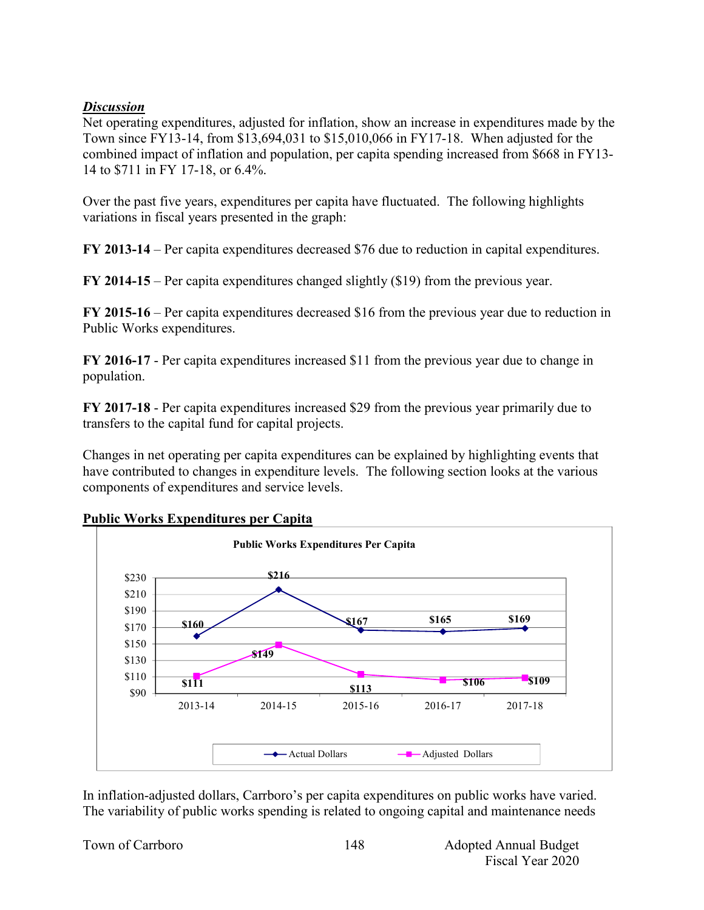#### *Discussion*

Net operating expenditures, adjusted for inflation, show an increase in expenditures made by the Town since FY13-14, from \$13,694,031 to \$15,010,066 in FY17-18. When adjusted for the combined impact of inflation and population, per capita spending increased from \$668 in FY13- 14 to \$711 in FY 17-18, or 6.4%.

Over the past five years, expenditures per capita have fluctuated. The following highlights variations in fiscal years presented in the graph:

**FY 2013-14** – Per capita expenditures decreased \$76 due to reduction in capital expenditures.

**FY 2014-15** – Per capita expenditures changed slightly (\$19) from the previous year.

**FY 2015-16** – Per capita expenditures decreased \$16 from the previous year due to reduction in Public Works expenditures.

**FY 2016-17** - Per capita expenditures increased \$11 from the previous year due to change in population.

**FY 2017-18** - Per capita expenditures increased \$29 from the previous year primarily due to transfers to the capital fund for capital projects.

Changes in net operating per capita expenditures can be explained by highlighting events that have contributed to changes in expenditure levels. The following section looks at the various components of expenditures and service levels.



**Public Works Expenditures per Capita**

In inflation-adjusted dollars, Carrboro's per capita expenditures on public works have varied. The variability of public works spending is related to ongoing capital and maintenance needs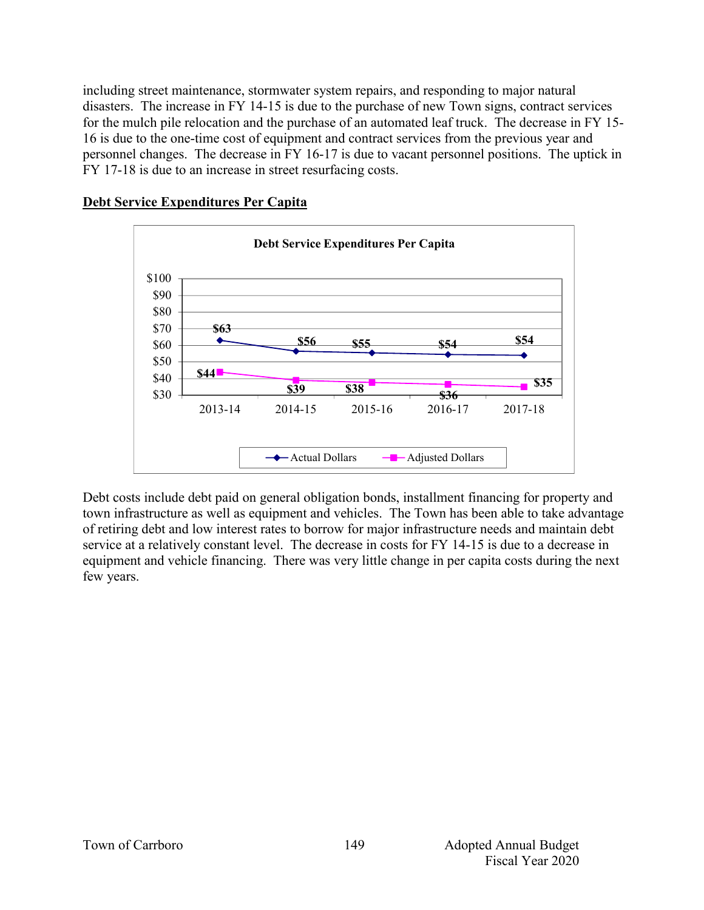including street maintenance, stormwater system repairs, and responding to major natural disasters. The increase in FY 14-15 is due to the purchase of new Town signs, contract services for the mulch pile relocation and the purchase of an automated leaf truck. The decrease in FY 15- 16 is due to the one-time cost of equipment and contract services from the previous year and personnel changes. The decrease in FY 16-17 is due to vacant personnel positions. The uptick in FY 17-18 is due to an increase in street resurfacing costs.

#### **Debt Service Expenditures Per Capita**



Debt costs include debt paid on general obligation bonds, installment financing for property and town infrastructure as well as equipment and vehicles. The Town has been able to take advantage of retiring debt and low interest rates to borrow for major infrastructure needs and maintain debt service at a relatively constant level. The decrease in costs for FY 14-15 is due to a decrease in equipment and vehicle financing. There was very little change in per capita costs during the next few years.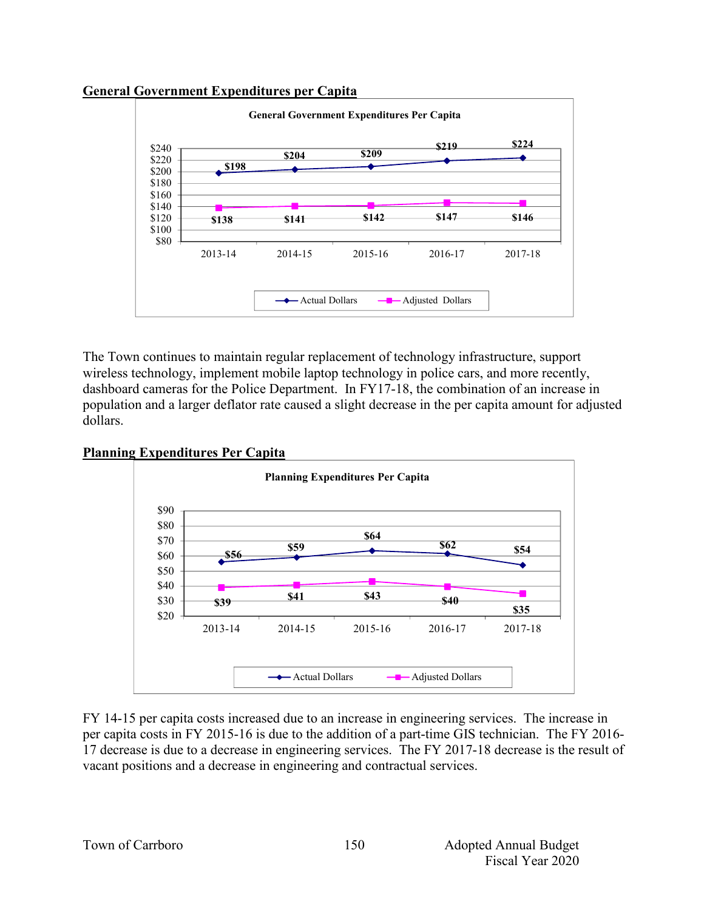#### **General Government Expenditures per Capita**



The Town continues to maintain regular replacement of technology infrastructure, support wireless technology, implement mobile laptop technology in police cars, and more recently, dashboard cameras for the Police Department. In FY17-18, the combination of an increase in population and a larger deflator rate caused a slight decrease in the per capita amount for adjusted dollars.

#### **Planning Expenditures Per Capita**



FY 14-15 per capita costs increased due to an increase in engineering services. The increase in per capita costs in FY 2015-16 is due to the addition of a part-time GIS technician. The FY 2016- 17 decrease is due to a decrease in engineering services. The FY 2017-18 decrease is the result of vacant positions and a decrease in engineering and contractual services.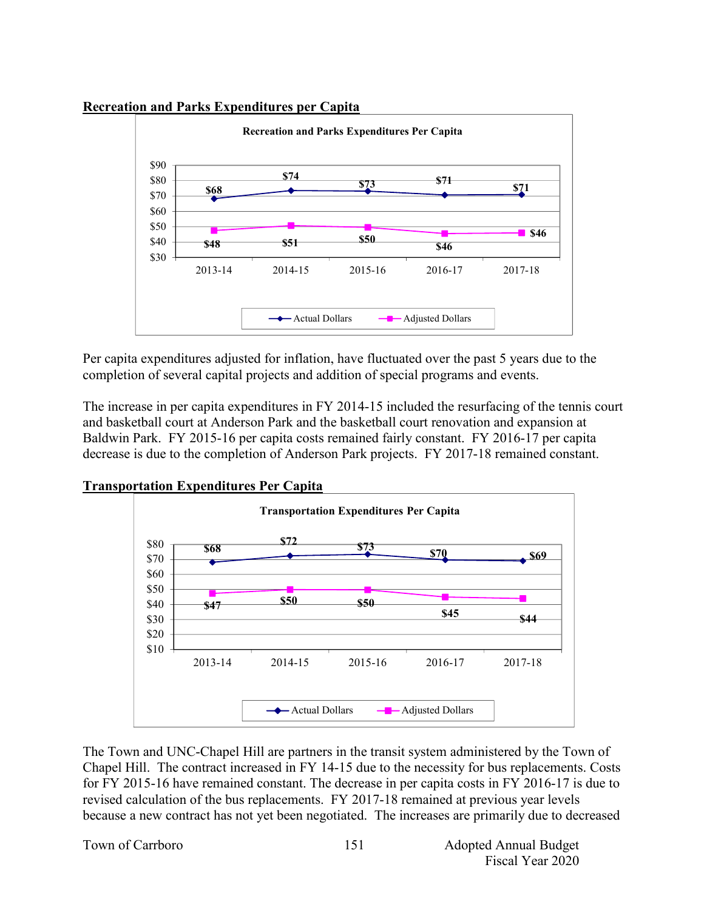#### **Recreation and Parks Expenditures per Capita**



Per capita expenditures adjusted for inflation, have fluctuated over the past 5 years due to the completion of several capital projects and addition of special programs and events.

The increase in per capita expenditures in FY 2014-15 included the resurfacing of the tennis court and basketball court at Anderson Park and the basketball court renovation and expansion at Baldwin Park. FY 2015-16 per capita costs remained fairly constant. FY 2016-17 per capita decrease is due to the completion of Anderson Park projects. FY 2017-18 remained constant.



**Transportation Expenditures Per Capita**

The Town and UNC-Chapel Hill are partners in the transit system administered by the Town of Chapel Hill. The contract increased in FY 14-15 due to the necessity for bus replacements. Costs for FY 2015-16 have remained constant. The decrease in per capita costs in FY 2016-17 is due to revised calculation of the bus replacements. FY 2017-18 remained at previous year levels because a new contract has not yet been negotiated. The increases are primarily due to decreased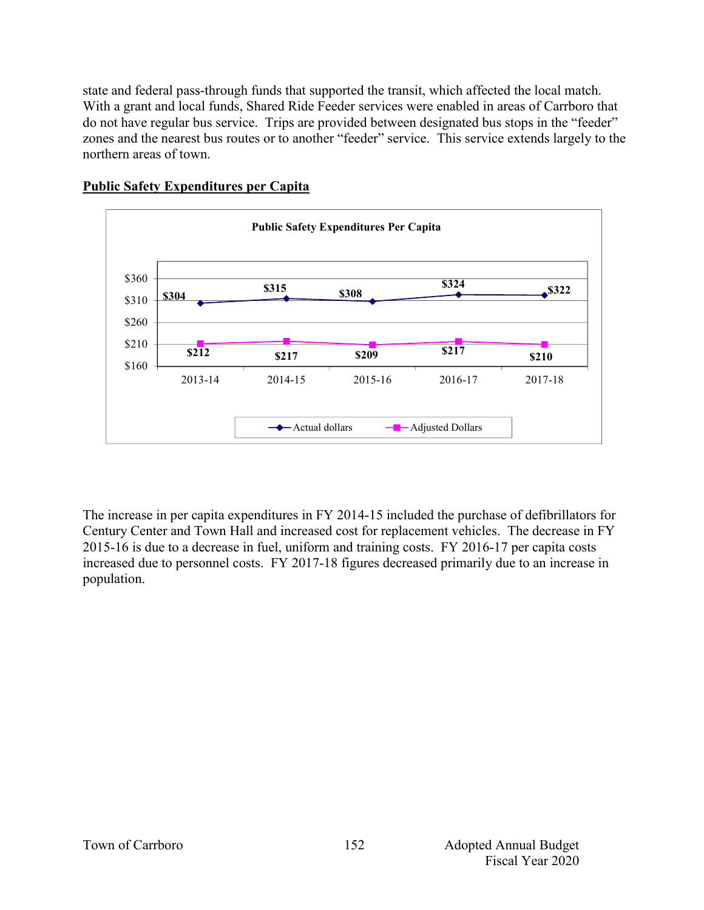state and federal pass-through funds that supported the transit, which affected the local match. With a grant and local funds, Shared Ride Feeder services were enabled in areas of Carrboro that do not have regular bus service. Trips are provided between designated bus stops in the "feeder" zones and the nearest bus routes or to another "feeder" service. This service extends largely to the northern areas of town.



#### **Public Safety Expenditures per Capita**

The increase in per capita expenditures in FY 2014-15 included the purchase of defibrillators for Century Center and Town Hall and increased cost for replacement vehicles. The decrease in FY 2015-16 is due to a decrease in fuel, uniform and training costs. FY 2016-17 per capita costs increased due to personnel costs. FY 2017-18 figures decreased primarily due to an increase in population.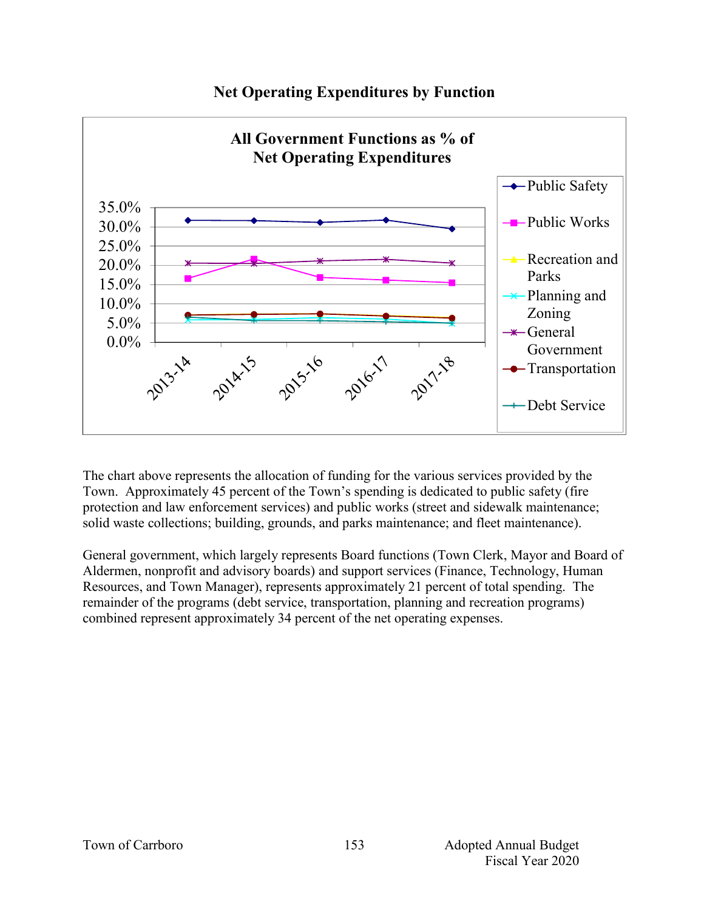

# **Net Operating Expenditures by Function**

The chart above represents the allocation of funding for the various services provided by the Town. Approximately 45 percent of the Town's spending is dedicated to public safety (fire protection and law enforcement services) and public works (street and sidewalk maintenance; solid waste collections; building, grounds, and parks maintenance; and fleet maintenance).

General government, which largely represents Board functions (Town Clerk, Mayor and Board of Aldermen, nonprofit and advisory boards) and support services (Finance, Technology, Human Resources, and Town Manager), represents approximately 21 percent of total spending. The remainder of the programs (debt service, transportation, planning and recreation programs) combined represent approximately 34 percent of the net operating expenses.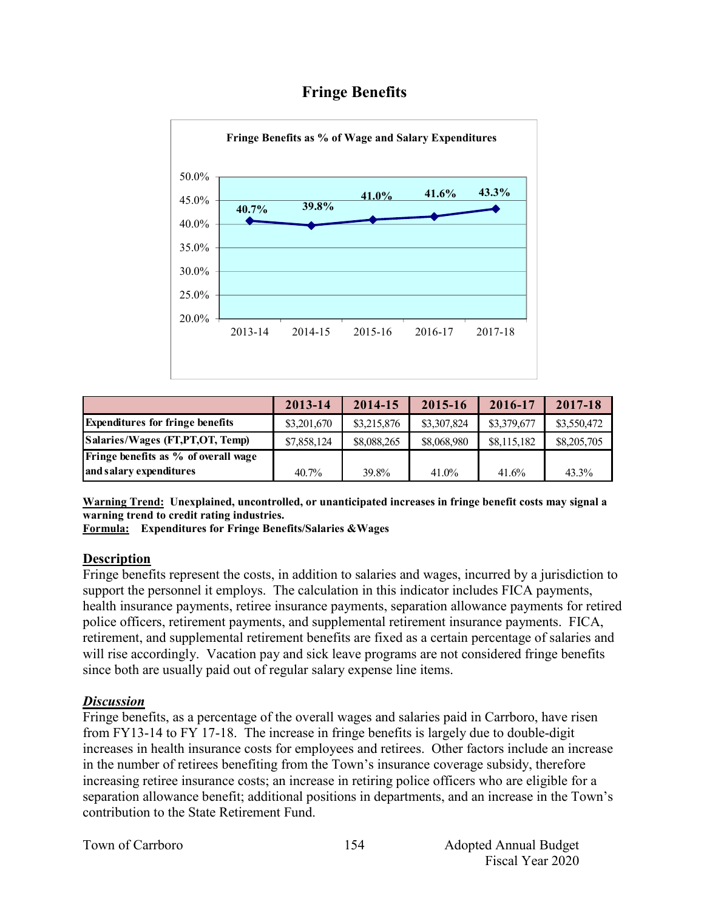# **Fringe Benefits**



|                                         | 2013-14     | 2014-15     | 2015-16     | 2016-17     | 2017-18     |
|-----------------------------------------|-------------|-------------|-------------|-------------|-------------|
| <b>Expenditures for fringe benefits</b> | \$3,201,670 | \$3,215,876 | \$3,307,824 | \$3,379,677 | \$3,550,472 |
| Salaries/Wages (FT,PT,OT, Temp)         | \$7,858,124 | \$8,088,265 | \$8,068,980 | \$8,115,182 | \$8,205,705 |
| Fringe benefits as % of overall wage    |             |             |             |             |             |
| and salary expenditures                 | $40.7\%$    | 39.8%       | 41.0%       | 41.6%       | 43.3%       |

**Warning Trend: Unexplained, uncontrolled, or unanticipated increases in fringe benefit costs may signal a warning trend to credit rating industries.**

**Formula: Expenditures for Fringe Benefits/Salaries &Wages** 

#### **Description**

Fringe benefits represent the costs, in addition to salaries and wages, incurred by a jurisdiction to support the personnel it employs. The calculation in this indicator includes FICA payments, health insurance payments, retiree insurance payments, separation allowance payments for retired police officers, retirement payments, and supplemental retirement insurance payments. FICA, retirement, and supplemental retirement benefits are fixed as a certain percentage of salaries and will rise accordingly. Vacation pay and sick leave programs are not considered fringe benefits since both are usually paid out of regular salary expense line items.

#### *Discussion*

Fringe benefits, as a percentage of the overall wages and salaries paid in Carrboro, have risen from FY13-14 to FY 17-18. The increase in fringe benefits is largely due to double-digit increases in health insurance costs for employees and retirees. Other factors include an increase in the number of retirees benefiting from the Town's insurance coverage subsidy, therefore increasing retiree insurance costs; an increase in retiring police officers who are eligible for a separation allowance benefit; additional positions in departments, and an increase in the Town's contribution to the State Retirement Fund.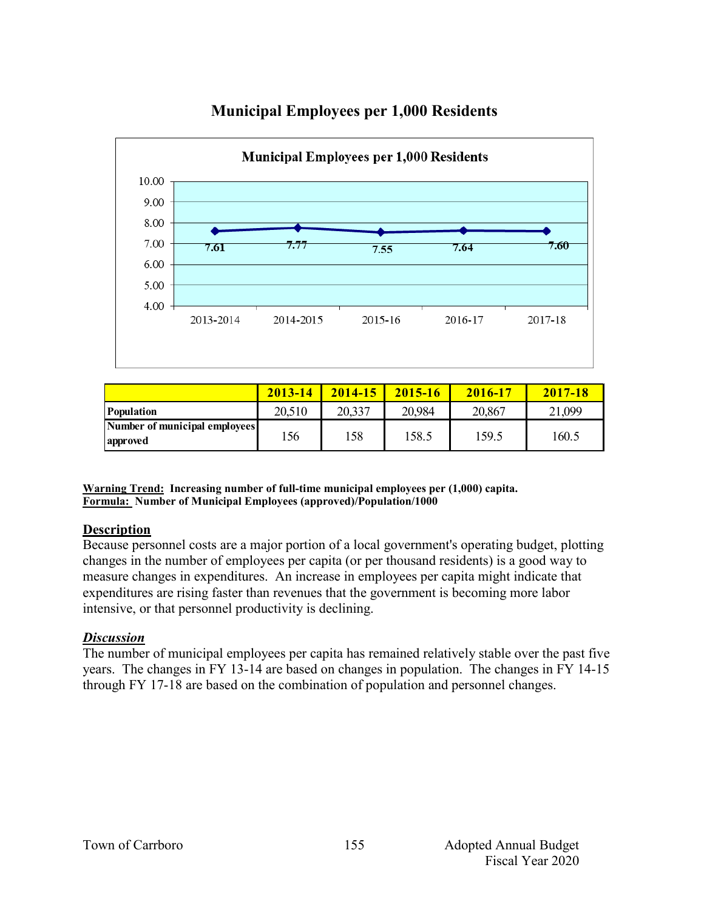

# **Municipal Employees per 1,000 Residents**

|                                           | 2013-14 | 2014-15 | $2015 - 16$ | 2016-17 | 2017-18 |
|-------------------------------------------|---------|---------|-------------|---------|---------|
| Population                                | 20,510  | 20,337  | 20,984      | 20,867  | 21,099  |
| Number of municipal employees<br>approved | 156     | 158     | 158.5       | 159.5   | 160.5   |

**Warning Trend: Increasing number of full-time municipal employees per (1,000) capita. Formula: Number of Municipal Employees (approved)/Population/1000**

#### **Description**

Because personnel costs are a major portion of a local government's operating budget, plotting changes in the number of employees per capita (or per thousand residents) is a good way to measure changes in expenditures. An increase in employees per capita might indicate that expenditures are rising faster than revenues that the government is becoming more labor intensive, or that personnel productivity is declining.

#### *Discussion*

The number of municipal employees per capita has remained relatively stable over the past five years. The changes in FY 13-14 are based on changes in population. The changes in FY 14-15 through FY 17-18 are based on the combination of population and personnel changes.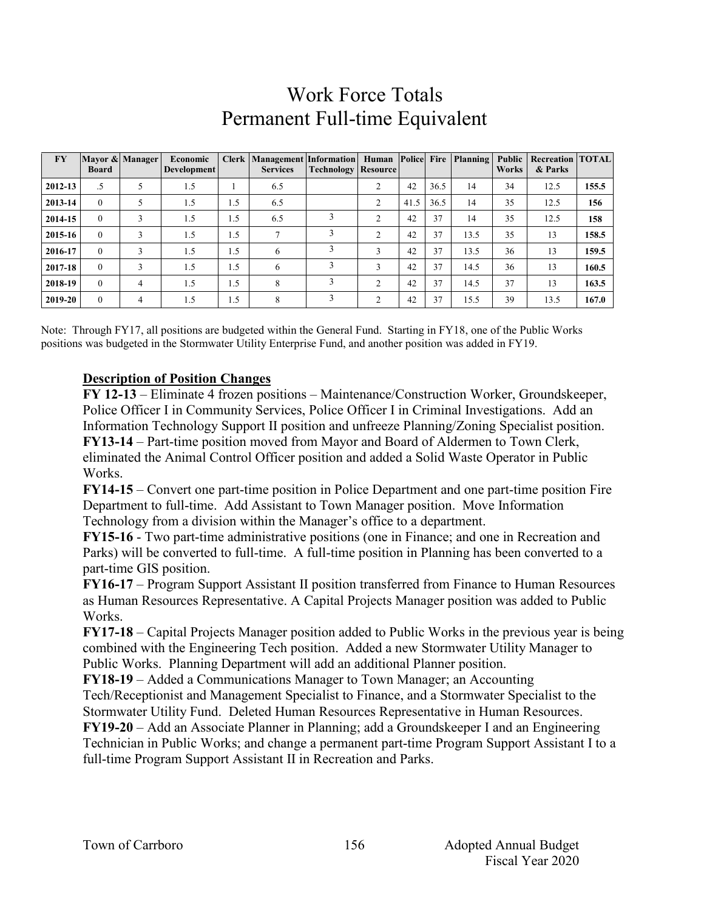# Work Force Totals Permanent Full-time Equivalent

| <b>FY</b> | <b>Board</b> | Mayor & Manager | Economic<br>Development |     | Clerk Management Information Human Police Fire Planning<br><b>Services</b> | <b>Technology   Resource  </b> |                |      |      |      | Public<br><b>Works</b> | <b>Recreation   TOTAL</b><br>& Parks |       |
|-----------|--------------|-----------------|-------------------------|-----|----------------------------------------------------------------------------|--------------------------------|----------------|------|------|------|------------------------|--------------------------------------|-------|
| 2012-13   | .5           |                 | 1.5                     |     | 6.5                                                                        |                                | ↑              | 42   | 36.5 | 14   | 34                     | 12.5                                 | 155.5 |
| 2013-14   | $\Omega$     |                 | 1.5                     | 1.5 | 6.5                                                                        |                                | <sup>1</sup>   | 41.5 | 36.5 | 14   | 35                     | 12.5                                 | 156   |
| 2014-15   | $\Omega$     | 3               | 1.5                     | 1.5 | 6.5                                                                        |                                | C              | 42   | 37   | 14   | 35                     | 12.5                                 | 158   |
| 2015-16   | $\Omega$     | 3               | 1.5                     | 1.5 | 7                                                                          |                                | ↑              | 42   | 37   | 13.5 | 35                     | 13                                   | 158.5 |
| 2016-17   | $\Omega$     | 3               | 1.5                     | 1.5 | 6                                                                          |                                | 3              | 42   | 37   | 13.5 | 36                     | 13                                   | 159.5 |
| 2017-18   | $\theta$     | 3               | 1.5                     | 1.5 | 6                                                                          |                                | 3              | 42   | 37   | 14.5 | 36                     | 13                                   | 160.5 |
| 2018-19   | $\Omega$     | 4               | 1.5                     | 1.5 | 8                                                                          |                                | C              | 42   | 37   | 14.5 | 37                     | 13                                   | 163.5 |
| 2019-20   | $\Omega$     | 4               | 1.5                     | 1.5 | 8                                                                          |                                | $\overline{c}$ | 42   | 37   | 15.5 | 39                     | 13.5                                 | 167.0 |

Note: Through FY17, all positions are budgeted within the General Fund. Starting in FY18, one of the Public Works positions was budgeted in the Stormwater Utility Enterprise Fund, and another position was added in FY19.

# **Description of Position Changes**

**FY 12-13** – Eliminate 4 frozen positions – Maintenance/Construction Worker, Groundskeeper, Police Officer I in Community Services, Police Officer I in Criminal Investigations. Add an Information Technology Support II position and unfreeze Planning/Zoning Specialist position. **FY13-14** – Part-time position moved from Mayor and Board of Aldermen to Town Clerk, eliminated the Animal Control Officer position and added a Solid Waste Operator in Public Works.

**FY14-15** – Convert one part-time position in Police Department and one part-time position Fire Department to full-time. Add Assistant to Town Manager position. Move Information Technology from a division within the Manager's office to a department.

**FY15-16** - Two part-time administrative positions (one in Finance; and one in Recreation and Parks) will be converted to full-time. A full-time position in Planning has been converted to a part-time GIS position.

**FY16-17** – Program Support Assistant II position transferred from Finance to Human Resources as Human Resources Representative. A Capital Projects Manager position was added to Public Works.

**FY17-18** – Capital Projects Manager position added to Public Works in the previous year is being combined with the Engineering Tech position. Added a new Stormwater Utility Manager to Public Works. Planning Department will add an additional Planner position.

**FY18-19** – Added a Communications Manager to Town Manager; an Accounting

Tech/Receptionist and Management Specialist to Finance, and a Stormwater Specialist to the Stormwater Utility Fund. Deleted Human Resources Representative in Human Resources.

**FY19-20** – Add an Associate Planner in Planning; add a Groundskeeper I and an Engineering Technician in Public Works; and change a permanent part-time Program Support Assistant I to a full-time Program Support Assistant II in Recreation and Parks.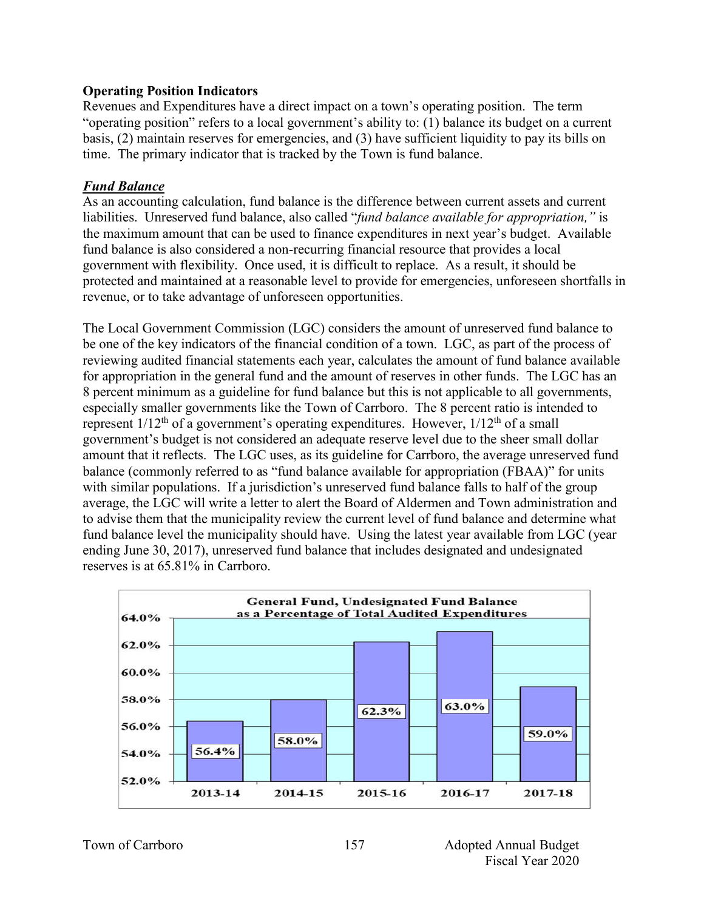#### **Operating Position Indicators**

Revenues and Expenditures have a direct impact on a town's operating position. The term "operating position" refers to a local government's ability to: (1) balance its budget on a current basis, (2) maintain reserves for emergencies, and (3) have sufficient liquidity to pay its bills on time. The primary indicator that is tracked by the Town is fund balance.

#### *Fund Balance*

As an accounting calculation, fund balance is the difference between current assets and current liabilities. Unreserved fund balance, also called "*fund balance available for appropriation,"* is the maximum amount that can be used to finance expenditures in next year's budget. Available fund balance is also considered a non-recurring financial resource that provides a local government with flexibility. Once used, it is difficult to replace. As a result, it should be protected and maintained at a reasonable level to provide for emergencies, unforeseen shortfalls in revenue, or to take advantage of unforeseen opportunities.

The Local Government Commission (LGC) considers the amount of unreserved fund balance to be one of the key indicators of the financial condition of a town. LGC, as part of the process of reviewing audited financial statements each year, calculates the amount of fund balance available for appropriation in the general fund and the amount of reserves in other funds. The LGC has an 8 percent minimum as a guideline for fund balance but this is not applicable to all governments, especially smaller governments like the Town of Carrboro. The 8 percent ratio is intended to represent  $1/12^{th}$  of a government's operating expenditures. However,  $1/12^{th}$  of a small government's budget is not considered an adequate reserve level due to the sheer small dollar amount that it reflects. The LGC uses, as its guideline for Carrboro, the average unreserved fund balance (commonly referred to as "fund balance available for appropriation (FBAA)" for units with similar populations. If a jurisdiction's unreserved fund balance falls to half of the group average, the LGC will write a letter to alert the Board of Aldermen and Town administration and to advise them that the municipality review the current level of fund balance and determine what fund balance level the municipality should have. Using the latest year available from LGC (year ending June 30, 2017), unreserved fund balance that includes designated and undesignated reserves is at 65.81% in Carrboro.

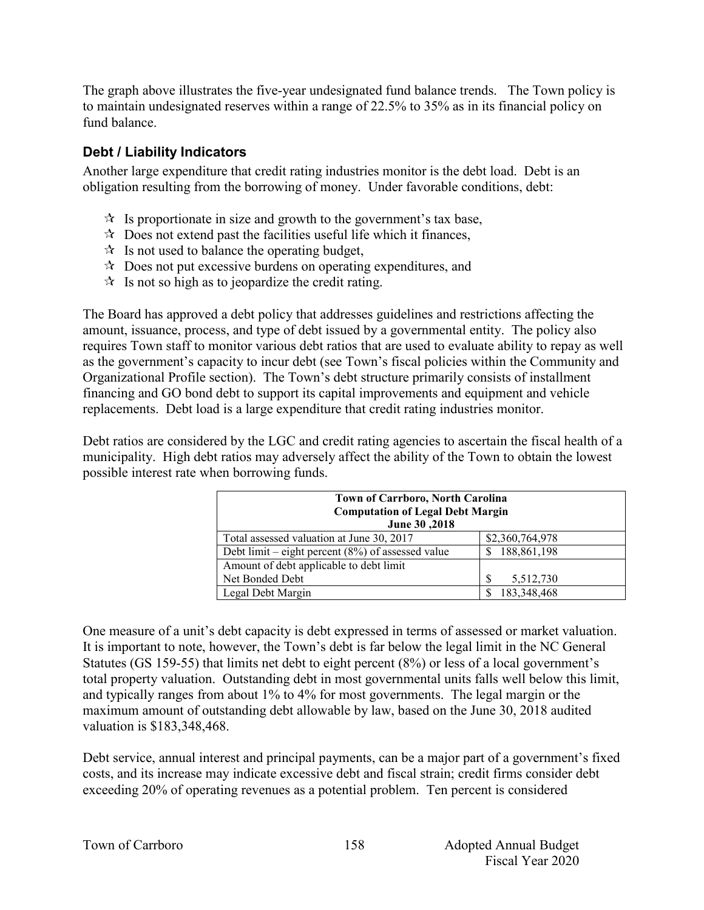The graph above illustrates the five-year undesignated fund balance trends. The Town policy is to maintain undesignated reserves within a range of 22.5% to 35% as in its financial policy on fund balance.

# **Debt / Liability Indicators**

Another large expenditure that credit rating industries monitor is the debt load. Debt is an obligation resulting from the borrowing of money. Under favorable conditions, debt:

- $\mathcal{R}$  Is proportionate in size and growth to the government's tax base,
- $\mathcal{R}$  Does not extend past the facilities useful life which it finances,
- $\mathcal{R}$  Is not used to balance the operating budget,
- $\lambda$  Does not put excessive burdens on operating expenditures, and
- $\mathcal{R}$  Is not so high as to jeopardize the credit rating.

The Board has approved a debt policy that addresses guidelines and restrictions affecting the amount, issuance, process, and type of debt issued by a governmental entity. The policy also requires Town staff to monitor various debt ratios that are used to evaluate ability to repay as well as the government's capacity to incur debt (see Town's fiscal policies within the Community and Organizational Profile section). The Town's debt structure primarily consists of installment financing and GO bond debt to support its capital improvements and equipment and vehicle replacements. Debt load is a large expenditure that credit rating industries monitor.

Debt ratios are considered by the LGC and credit rating agencies to ascertain the fiscal health of a municipality. High debt ratios may adversely affect the ability of the Town to obtain the lowest possible interest rate when borrowing funds.

| <b>Town of Carrboro, North Carolina</b><br><b>Computation of Legal Debt Margin</b><br>June 30,2018 |                 |  |  |  |  |
|----------------------------------------------------------------------------------------------------|-----------------|--|--|--|--|
| Total assessed valuation at June 30, 2017                                                          | \$2,360,764,978 |  |  |  |  |
| Debt limit – eight percent $(8\%)$ of assessed value                                               | 188,861,198     |  |  |  |  |
| Amount of debt applicable to debt limit                                                            |                 |  |  |  |  |
| Net Bonded Debt                                                                                    | 5,512,730       |  |  |  |  |
| Legal Debt Margin                                                                                  | 183,348,468     |  |  |  |  |

One measure of a unit's debt capacity is debt expressed in terms of assessed or market valuation. It is important to note, however, the Town's debt is far below the legal limit in the NC General Statutes (GS 159-55) that limits net debt to eight percent (8%) or less of a local government's total property valuation. Outstanding debt in most governmental units falls well below this limit, and typically ranges from about 1% to 4% for most governments. The legal margin or the maximum amount of outstanding debt allowable by law, based on the June 30, 2018 audited valuation is \$183,348,468.

Debt service, annual interest and principal payments, can be a major part of a government's fixed costs, and its increase may indicate excessive debt and fiscal strain; credit firms consider debt exceeding 20% of operating revenues as a potential problem. Ten percent is considered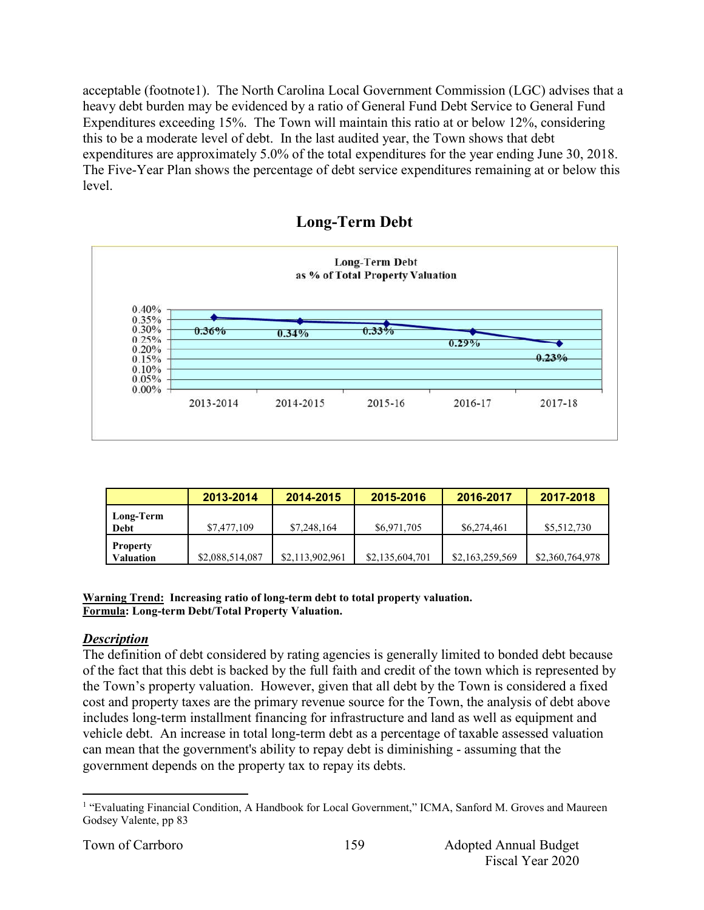acceptable (footnote1). The North Carolina Local Government Commission (LGC) advises that a heavy debt burden may be evidenced by a ratio of General Fund Debt Service to General Fund Expenditures exceeding 15%. The Town will maintain this ratio at or below 12%, considering this to be a moderate level of debt. In the last audited year, the Town shows that debt expenditures are approximately 5.0% of the total expenditures for the year ending June 30, 2018. The Five-Year Plan shows the percentage of debt service expenditures remaining at or below this level.





|                                     | 2013-2014       | 2014-2015       | 2015-2016       | 2016-2017       | 2017-2018       |
|-------------------------------------|-----------------|-----------------|-----------------|-----------------|-----------------|
| Long-Term<br>Debt                   | \$7,477,109     | \$7,248,164     | \$6,971,705     | \$6,274,461     | \$5,512,730     |
| <b>Property</b><br><b>Valuation</b> | \$2,088,514,087 | \$2,113,902,961 | \$2,135,604,701 | \$2,163,259,569 | \$2,360,764,978 |

**Warning Trend: Increasing ratio of long-term debt to total property valuation. Formula: Long-term Debt/Total Property Valuation.**

#### *Description*

The definition of debt considered by rating agencies is generally limited to bonded debt because of the fact that this debt is backed by the full faith and credit of the town which is represented by the Town's property valuation. However, given that all debt by the Town is considered a fixed cost and property taxes are the primary revenue source for the Town, the analysis of debt above includes long-term installment financing for infrastructure and land as well as equipment and vehicle debt. An increase in total long-term debt as a percentage of taxable assessed valuation can mean that the government's ability to repay debt is diminishing - assuming that the government depends on the property tax to repay its debts.

<sup>&</sup>lt;sup>1</sup> "Evaluating Financial Condition, A Handbook for Local Government," ICMA, Sanford M. Groves and Maureen Godsey Valente, pp 83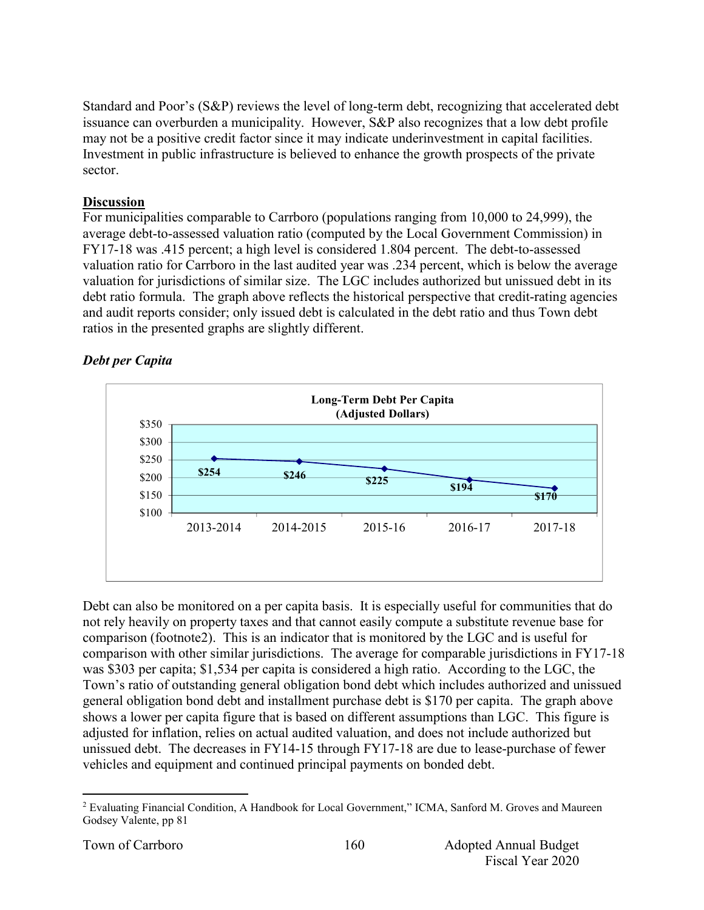Standard and Poor's (S&P) reviews the level of long-term debt, recognizing that accelerated debt issuance can overburden a municipality. However, S&P also recognizes that a low debt profile may not be a positive credit factor since it may indicate underinvestment in capital facilities. Investment in public infrastructure is believed to enhance the growth prospects of the private sector.

#### **Discussion**

For municipalities comparable to Carrboro (populations ranging from 10,000 to 24,999), the average debt-to-assessed valuation ratio (computed by the Local Government Commission) in FY17-18 was .415 percent; a high level is considered 1.804 percent. The debt-to-assessed valuation ratio for Carrboro in the last audited year was .234 percent, which is below the average valuation for jurisdictions of similar size. The LGC includes authorized but unissued debt in its debt ratio formula. The graph above reflects the historical perspective that credit-rating agencies and audit reports consider; only issued debt is calculated in the debt ratio and thus Town debt ratios in the presented graphs are slightly different.

# *Debt per Capita*



Debt can also be monitored on a per capita basis. It is especially useful for communities that do not rely heavily on property taxes and that cannot easily compute a substitute revenue base for comparison (footnote2). This is an indicator that is monitored by the LGC and is useful for comparison with other similar jurisdictions. The average for comparable jurisdictions in FY17-18 was \$303 per capita; \$1,534 per capita is considered a high ratio. According to the LGC, the Town's ratio of outstanding general obligation bond debt which includes authorized and unissued general obligation bond debt and installment purchase debt is \$170 per capita. The graph above shows a lower per capita figure that is based on different assumptions than LGC. This figure is adjusted for inflation, relies on actual audited valuation, and does not include authorized but unissued debt. The decreases in FY14-15 through FY17-18 are due to lease-purchase of fewer vehicles and equipment and continued principal payments on bonded debt.

<sup>&</sup>lt;sup>2</sup> Evaluating Financial Condition, A Handbook for Local Government," ICMA, Sanford M. Groves and Maureen Godsey Valente, pp 81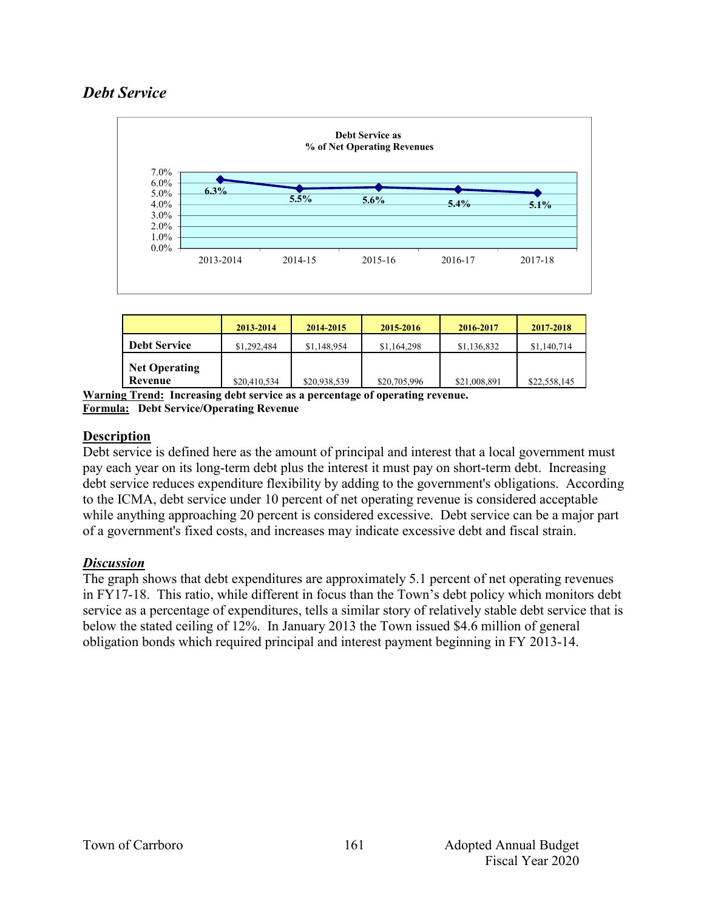# *Debt Service*



|                                 | 2013-2014    | 2014-2015    | 2015-2016    | 2016-2017    | 2017-2018    |
|---------------------------------|--------------|--------------|--------------|--------------|--------------|
| <b>Debt Service</b>             | \$1,292,484  | \$1,148,954  | \$1,164,298  | \$1,136,832  | \$1,140,714  |
| <b>Net Operating</b><br>Revenue | \$20,410,534 | \$20,938,539 | \$20,705,996 | \$21,008,891 | \$22,558,145 |

**Warning Trend: Increasing debt service as a percentage of operating revenue. Formula: Debt Service/Operating Revenue**

#### **Description**

Debt service is defined here as the amount of principal and interest that a local government must pay each year on its long-term debt plus the interest it must pay on short-term debt. Increasing debt service reduces expenditure flexibility by adding to the government's obligations. According to the ICMA, debt service under 10 percent of net operating revenue is considered acceptable while anything approaching 20 percent is considered excessive. Debt service can be a major part of a government's fixed costs, and increases may indicate excessive debt and fiscal strain.

#### *Discussion*

The graph shows that debt expenditures are approximately 5.1 percent of net operating revenues in FY17-18. This ratio, while different in focus than the Town's debt policy which monitors debt service as a percentage of expenditures, tells a similar story of relatively stable debt service that is below the stated ceiling of 12%. In January 2013 the Town issued \$4.6 million of general obligation bonds which required principal and interest payment beginning in FY 2013-14.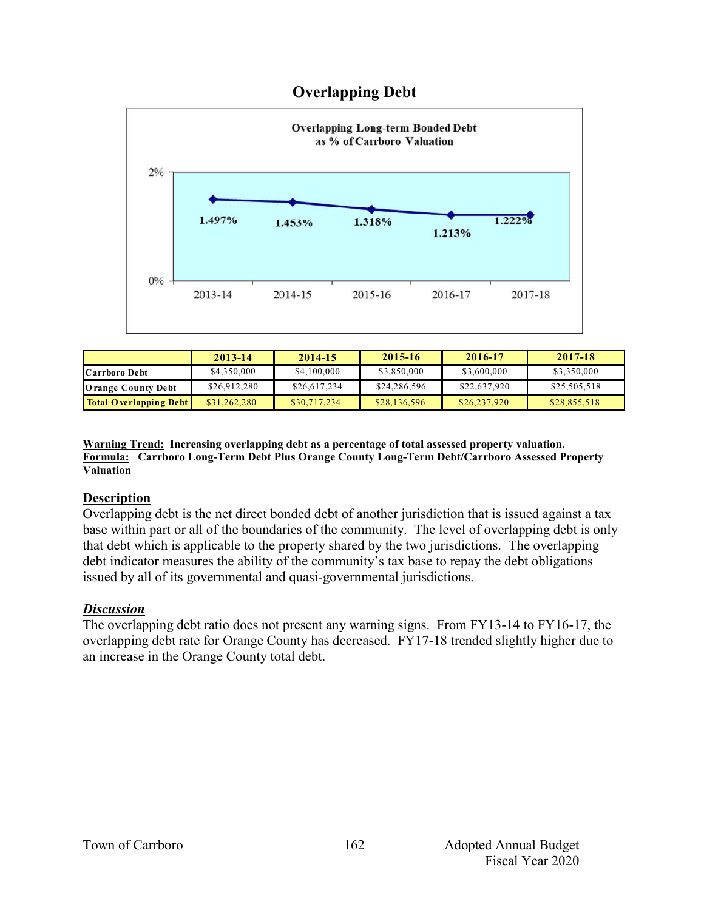

| <b>Overlapping Debt</b> |
|-------------------------|
|                         |

|                               | 2013-14      | 2014-15      | $2015 - 16$  | 2016-17      | 2017-18      |
|-------------------------------|--------------|--------------|--------------|--------------|--------------|
| Carrboro Debt                 | \$4,350,000  | \$4,100,000  | \$3,850,000  | \$3,600,000  | \$3,350,000  |
| <b>Orange County Debt</b>     | \$26,912,280 | \$26,617,234 | \$24,286,596 | \$22,637,920 | \$25,505,518 |
| <b>Total Overlapping Debt</b> | \$31,262,280 | \$30,717,234 | \$28,136,596 | \$26,237,920 | \$28,855,518 |

**Warning Trend: Increasing overlapping debt as a percentage of total assessed property valuation. Formula: Carrboro Long-Term Debt Plus Orange County Long-Term Debt/Carrboro Assessed Property Valuation**

#### **Description**

Overlapping debt is the net direct bonded debt of another jurisdiction that is issued against a tax base within part or all of the boundaries of the community. The level of overlapping debt is only that debt which is applicable to the property shared by the two jurisdictions. The overlapping debt indicator measures the ability of the community's tax base to repay the debt obligations issued by all of its governmental and quasi-governmental jurisdictions.

#### *Discussion*

The overlapping debt ratio does not present any warning signs. From FY13-14 to FY16-17, the overlapping debt rate for Orange County has decreased. FY17-18 trended slightly higher due to an increase in the Orange County total debt.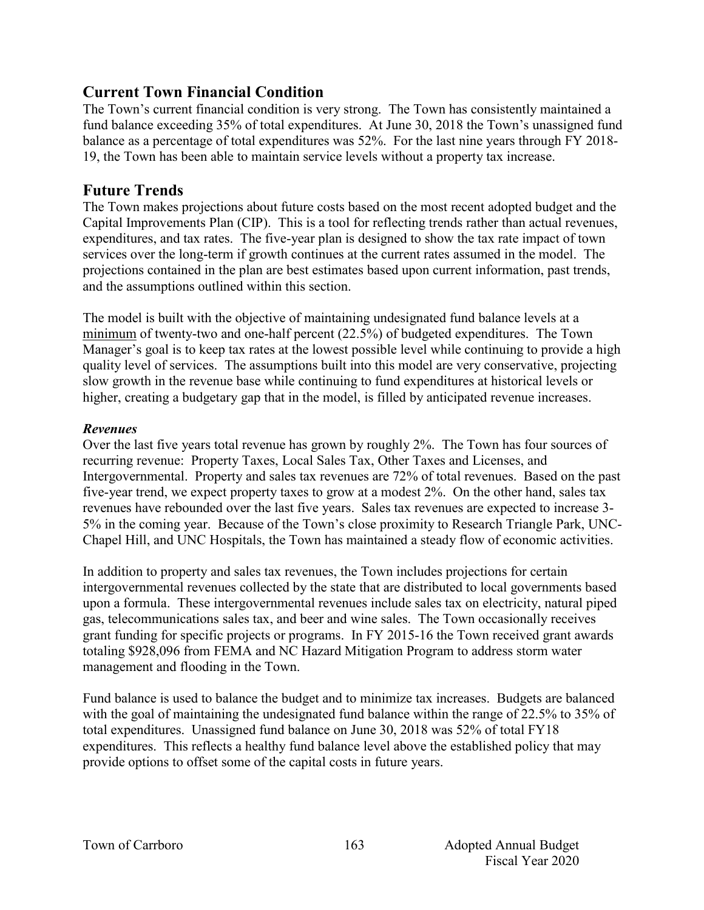# **Current Town Financial Condition**

The Town's current financial condition is very strong. The Town has consistently maintained a fund balance exceeding 35% of total expenditures. At June 30, 2018 the Town's unassigned fund balance as a percentage of total expenditures was 52%. For the last nine years through FY 2018- 19, the Town has been able to maintain service levels without a property tax increase.

#### **Future Trends**

The Town makes projections about future costs based on the most recent adopted budget and the Capital Improvements Plan (CIP). This is a tool for reflecting trends rather than actual revenues, expenditures, and tax rates. The five-year plan is designed to show the tax rate impact of town services over the long-term if growth continues at the current rates assumed in the model. The projections contained in the plan are best estimates based upon current information, past trends, and the assumptions outlined within this section.

The model is built with the objective of maintaining undesignated fund balance levels at a minimum of twenty-two and one-half percent (22.5%) of budgeted expenditures. The Town Manager's goal is to keep tax rates at the lowest possible level while continuing to provide a high quality level of services. The assumptions built into this model are very conservative, projecting slow growth in the revenue base while continuing to fund expenditures at historical levels or higher, creating a budgetary gap that in the model, is filled by anticipated revenue increases.

#### *Revenues*

Over the last five years total revenue has grown by roughly 2%. The Town has four sources of recurring revenue: Property Taxes, Local Sales Tax, Other Taxes and Licenses, and Intergovernmental. Property and sales tax revenues are 72% of total revenues. Based on the past five-year trend, we expect property taxes to grow at a modest 2%. On the other hand, sales tax revenues have rebounded over the last five years. Sales tax revenues are expected to increase 3- 5% in the coming year. Because of the Town's close proximity to Research Triangle Park, UNC-Chapel Hill, and UNC Hospitals, the Town has maintained a steady flow of economic activities.

In addition to property and sales tax revenues, the Town includes projections for certain intergovernmental revenues collected by the state that are distributed to local governments based upon a formula. These intergovernmental revenues include sales tax on electricity, natural piped gas, telecommunications sales tax, and beer and wine sales. The Town occasionally receives grant funding for specific projects or programs. In FY 2015-16 the Town received grant awards totaling \$928,096 from FEMA and NC Hazard Mitigation Program to address storm water management and flooding in the Town.

Fund balance is used to balance the budget and to minimize tax increases. Budgets are balanced with the goal of maintaining the undesignated fund balance within the range of 22.5% to 35% of total expenditures. Unassigned fund balance on June 30, 2018 was 52% of total FY18 expenditures. This reflects a healthy fund balance level above the established policy that may provide options to offset some of the capital costs in future years.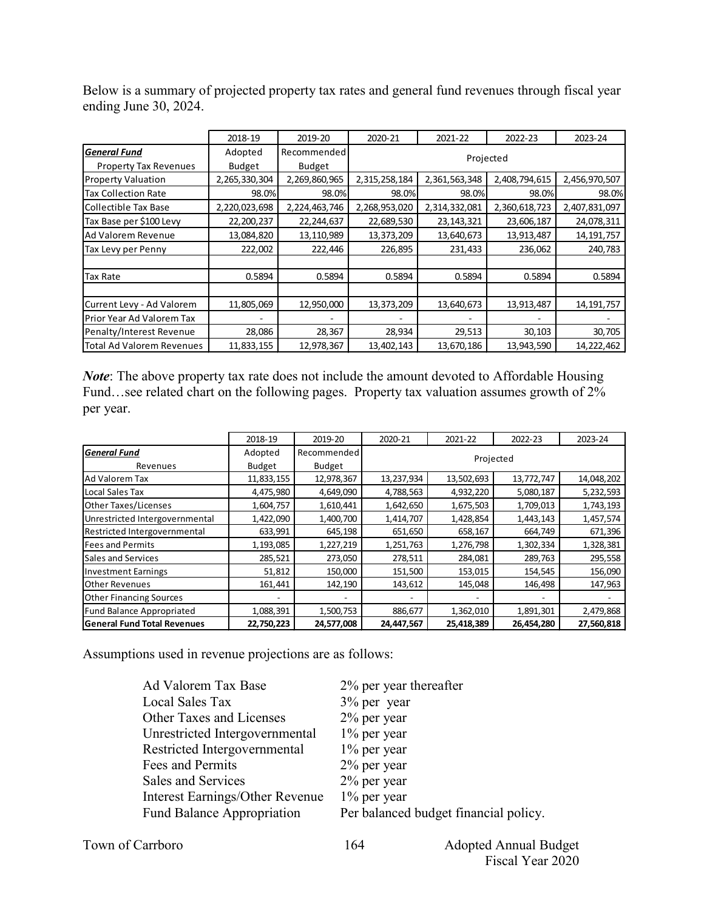Below is a summary of projected property tax rates and general fund revenues through fiscal year ending June 30, 2024.

|                                  | 2018-19       | 2019-20       | 2020-21       | 2021-22       | 2022-23       | 2023-24       |  |  |
|----------------------------------|---------------|---------------|---------------|---------------|---------------|---------------|--|--|
| General Fund                     | Adopted       | Recommended   | Projected     |               |               |               |  |  |
| <b>Property Tax Revenues</b>     | <b>Budget</b> | <b>Budget</b> |               |               |               |               |  |  |
| <b>Property Valuation</b>        | 2,265,330,304 | 2,269,860,965 | 2,315,258,184 | 2,361,563,348 | 2,408,794,615 | 2,456,970,507 |  |  |
| <b>Tax Collection Rate</b>       | 98.0%         | 98.0%         | 98.0%         | 98.0%         | 98.0%         | 98.0%         |  |  |
| Collectible Tax Base             | 2,220,023,698 | 2,224,463,746 | 2,268,953,020 | 2,314,332,081 | 2,360,618,723 | 2,407,831,097 |  |  |
| Tax Base per \$100 Levy          | 22,200,237    | 22,244,637    | 22,689,530    | 23, 143, 321  | 23,606,187    | 24,078,311    |  |  |
| Ad Valorem Revenue               | 13,084,820    | 13,110,989    | 13,373,209    | 13,640,673    | 13,913,487    | 14, 191, 757  |  |  |
| Tax Levy per Penny               | 222,002       | 222,446       | 226,895       | 231,433       | 236,062       | 240,783       |  |  |
|                                  |               |               |               |               |               |               |  |  |
| Tax Rate                         | 0.5894        | 0.5894        | 0.5894        | 0.5894        | 0.5894        | 0.5894        |  |  |
|                                  |               |               |               |               |               |               |  |  |
| Current Levy - Ad Valorem        | 11,805,069    | 12,950,000    | 13,373,209    | 13,640,673    | 13,913,487    | 14, 191, 757  |  |  |
| Prior Year Ad Valorem Tax        |               |               |               |               |               |               |  |  |
| Penalty/Interest Revenue         | 28,086        | 28,367        | 28,934        | 29,513        | 30,103        | 30,705        |  |  |
| <b>Total Ad Valorem Revenues</b> | 11,833,155    | 12,978,367    | 13,402,143    | 13,670,186    | 13,943,590    | 14,222,462    |  |  |

*Note*: The above property tax rate does not include the amount devoted to Affordable Housing Fund…see related chart on the following pages. Property tax valuation assumes growth of 2% per year.

|                                    | 2018-19    | 2019-20       | 2020-21    | 2021-22    | 2022-23    | 2023-24    |  |
|------------------------------------|------------|---------------|------------|------------|------------|------------|--|
| <b>General Fund</b>                | Adopted    | Recommended   | Projected  |            |            |            |  |
| Revenues                           | Budget     | <b>Budget</b> |            |            |            |            |  |
| Ad Valorem Tax                     | 11,833,155 | 12,978,367    | 13,237,934 | 13,502,693 | 13,772,747 | 14,048,202 |  |
| Local Sales Tax                    | 4,475,980  | 4,649,090     | 4,788,563  | 4,932,220  | 5,080,187  | 5,232,593  |  |
| Other Taxes/Licenses               | 1,604,757  | 1,610,441     | 1,642,650  | 1,675,503  | 1,709,013  | 1,743,193  |  |
| Unrestricted Intergovernmental     | 1,422,090  | 1,400,700     | 1,414,707  | 1,428,854  | 1,443,143  | 1,457,574  |  |
| Restricted Intergovernmental       | 633,991    | 645,198       | 651,650    | 658,167    | 664,749    | 671,396    |  |
| <b>Fees and Permits</b>            | 1,193,085  | 1,227,219     | 1,251,763  | 1,276,798  | 1,302,334  | 1,328,381  |  |
| Sales and Services                 | 285,521    | 273,050       | 278,511    | 284,081    | 289,763    | 295,558    |  |
| <b>Investment Earnings</b>         | 51,812     | 150,000       | 151,500    | 153,015    | 154,545    | 156,090    |  |
| <b>Other Revenues</b>              | 161,441    | 142,190       | 143,612    | 145,048    | 146,498    | 147,963    |  |
| <b>Other Financing Sources</b>     |            |               |            |            |            |            |  |
| Fund Balance Appropriated          | 1,088,391  | 1,500,753     | 886,677    | 1,362,010  | 1,891,301  | 2,479,868  |  |
| <b>General Fund Total Revenues</b> | 22,750,223 | 24,577,008    | 24,447,567 | 25,418,389 | 26,454,280 | 27,560,818 |  |

Assumptions used in revenue projections are as follows:

| Ad Valorem Tax Base               | 2% per year thereafter                |
|-----------------------------------|---------------------------------------|
| Local Sales Tax                   | $3\%$ per year                        |
| <b>Other Taxes and Licenses</b>   | $2\%$ per year                        |
| Unrestricted Intergovernmental    | $1\%$ per year                        |
| Restricted Intergovernmental      | $1\%$ per year                        |
| Fees and Permits                  | $2\%$ per year                        |
| Sales and Services                | $2\%$ per year                        |
| Interest Earnings/Other Revenue   | $1\%$ per year                        |
| <b>Fund Balance Appropriation</b> | Per balanced budget financial policy. |
|                                   |                                       |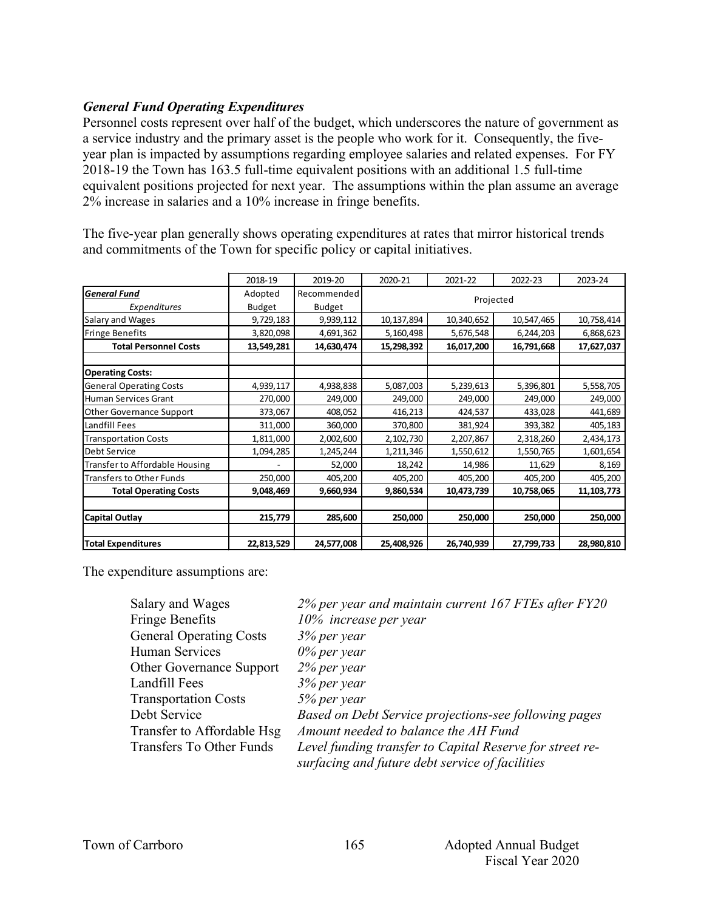#### *General Fund Operating Expenditures*

Personnel costs represent over half of the budget, which underscores the nature of government as a service industry and the primary asset is the people who work for it. Consequently, the fiveyear plan is impacted by assumptions regarding employee salaries and related expenses. For FY 2018-19 the Town has 163.5 full-time equivalent positions with an additional 1.5 full-time equivalent positions projected for next year. The assumptions within the plan assume an average 2% increase in salaries and a 10% increase in fringe benefits.

|                                 | 2018-19       | 2019-20       | 2020-21    | 2021-22    | 2022-23    | 2023-24      |  |
|---------------------------------|---------------|---------------|------------|------------|------------|--------------|--|
| <b>General Fund</b>             | Adopted       | Recommended   |            |            |            |              |  |
| Expenditures                    | <b>Budget</b> | <b>Budget</b> | Projected  |            |            |              |  |
| Salary and Wages                | 9,729,183     | 9,939,112     | 10,137,894 | 10,340,652 | 10,547,465 | 10,758,414   |  |
| Fringe Benefits                 | 3,820,098     | 4,691,362     | 5,160,498  | 5,676,548  | 6,244,203  | 6,868,623    |  |
| <b>Total Personnel Costs</b>    | 13,549,281    | 14,630,474    | 15,298,392 | 16,017,200 | 16,791,668 | 17,627,037   |  |
|                                 |               |               |            |            |            |              |  |
| <b>Operating Costs:</b>         |               |               |            |            |            |              |  |
| <b>General Operating Costs</b>  | 4,939,117     | 4,938,838     | 5,087,003  | 5,239,613  | 5,396,801  | 5,558,705    |  |
| Human Services Grant            | 270,000       | 249,000       | 249,000    | 249,000    | 249,000    | 249,000      |  |
| Other Governance Support        | 373,067       | 408,052       | 416,213    | 424,537    | 433,028    | 441,689      |  |
| Landfill Fees                   | 311,000       | 360,000       | 370,800    | 381,924    | 393,382    | 405,183      |  |
| <b>Transportation Costs</b>     | 1,811,000     | 2,002,600     | 2,102,730  | 2,207,867  | 2,318,260  | 2,434,173    |  |
| Debt Service                    | 1,094,285     | 1,245,244     | 1,211,346  | 1,550,612  | 1,550,765  | 1,601,654    |  |
| Transfer to Affordable Housing  |               | 52,000        | 18,242     | 14,986     | 11,629     | 8,169        |  |
| <b>Transfers to Other Funds</b> | 250,000       | 405,200       | 405,200    | 405,200    | 405,200    | 405,200      |  |
| <b>Total Operating Costs</b>    | 9,048,469     | 9,660,934     | 9,860,534  | 10,473,739 | 10,758,065 | 11, 103, 773 |  |
|                                 |               |               |            |            |            |              |  |
| <b>Capital Outlay</b>           | 215,779       | 285,600       | 250,000    | 250,000    | 250,000    | 250,000      |  |
|                                 |               |               |            |            |            |              |  |
| <b>Total Expenditures</b>       | 22,813,529    | 24,577,008    | 25,408,926 | 26,740,939 | 27,799,733 | 28,980,810   |  |

The five-year plan generally shows operating expenditures at rates that mirror historical trends and commitments of the Town for specific policy or capital initiatives.

The expenditure assumptions are:

| Salary and Wages                | 2% per year and maintain current 167 FTEs after FY20     |
|---------------------------------|----------------------------------------------------------|
| <b>Fringe Benefits</b>          | 10% increase per year                                    |
| <b>General Operating Costs</b>  | 3% per year                                              |
| Human Services                  | $0\%$ per year                                           |
| <b>Other Governance Support</b> | $2%$ per year                                            |
| Landfill Fees                   | 3% per year                                              |
| <b>Transportation Costs</b>     | 5% per year                                              |
| Debt Service                    | Based on Debt Service projections-see following pages    |
| Transfer to Affordable Hsg      | Amount needed to balance the AH Fund                     |
| Transfers To Other Funds        | Level funding transfer to Capital Reserve for street re- |
|                                 | surfacing and future debt service of facilities          |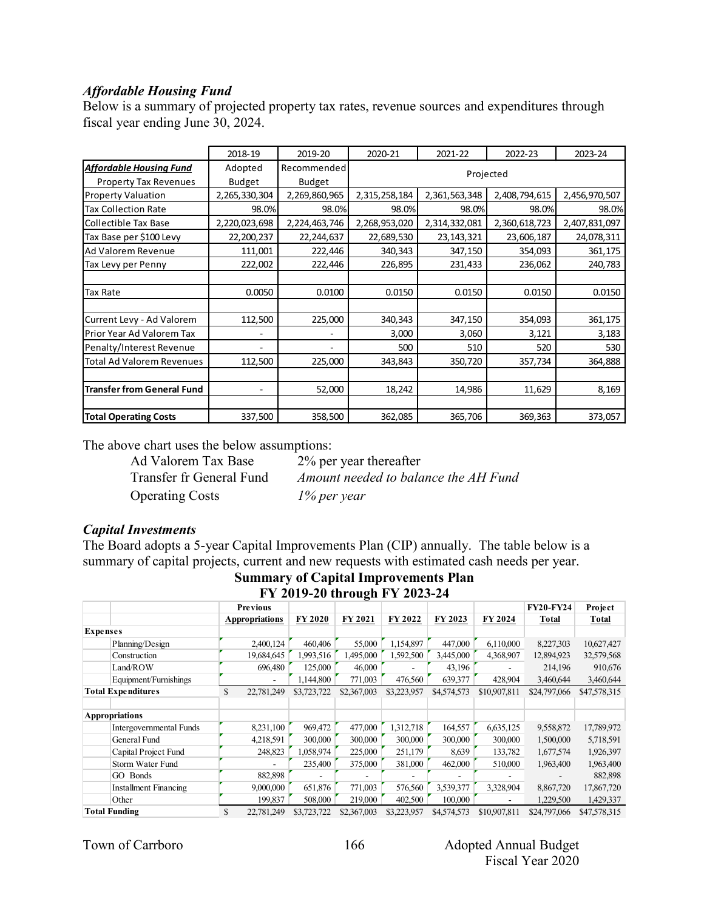#### *Affordable Housing Fund*

Below is a summary of projected property tax rates, revenue sources and expenditures through fiscal year ending June 30, 2024.

|                                   | 2018-19       | 2019-20       | 2020-21       | 2021-22       | 2022-23       | 2023-24       |  |  |
|-----------------------------------|---------------|---------------|---------------|---------------|---------------|---------------|--|--|
| <b>Affordable Housing Fund</b>    | Adopted       | Recommended   | Projected     |               |               |               |  |  |
| <b>Property Tax Revenues</b>      | <b>Budget</b> | <b>Budget</b> |               |               |               |               |  |  |
| <b>Property Valuation</b>         | 2,265,330,304 | 2,269,860,965 | 2,315,258,184 | 2,361,563,348 | 2,408,794,615 | 2,456,970,507 |  |  |
| <b>Tax Collection Rate</b>        | 98.0%         | 98.0%         | 98.0%         | 98.0%         | 98.0%         | 98.0%         |  |  |
| Collectible Tax Base              | 2,220,023,698 | 2,224,463,746 | 2,268,953,020 | 2,314,332,081 | 2,360,618,723 | 2,407,831,097 |  |  |
| Tax Base per \$100 Levy           | 22,200,237    | 22,244,637    | 22,689,530    | 23, 143, 321  | 23,606,187    | 24,078,311    |  |  |
| Ad Valorem Revenue                | 111,001       | 222,446       | 340,343       | 347,150       | 354,093       | 361,175       |  |  |
| Tax Levy per Penny                | 222,002       | 222,446       | 226,895       | 231,433       | 236,062       | 240,783       |  |  |
|                                   |               |               |               |               |               |               |  |  |
| Tax Rate                          | 0.0050        | 0.0100        | 0.0150        | 0.0150        | 0.0150        | 0.0150        |  |  |
|                                   |               |               |               |               |               |               |  |  |
| Current Levy - Ad Valorem         | 112,500       | 225,000       | 340,343       | 347,150       | 354,093       | 361,175       |  |  |
| Prior Year Ad Valorem Tax         |               | ۰             | 3,000         | 3,060         | 3,121         | 3,183         |  |  |
| Penalty/Interest Revenue          |               | ۰             | 500           | 510           | 520           | 530           |  |  |
| Total Ad Valorem Revenues         | 112,500       | 225,000       | 343,843       | 350,720       | 357,734       | 364,888       |  |  |
|                                   |               |               |               |               |               |               |  |  |
| <b>Transfer from General Fund</b> | ٠             | 52,000        | 18,242        | 14,986        | 11,629        | 8,169         |  |  |
|                                   |               |               |               |               |               |               |  |  |
| <b>Total Operating Costs</b>      | 337,500       | 358,500       | 362,085       | 365,706       | 369,363       | 373,057       |  |  |

The above chart uses the below assumptions:

Operating Costs *1% per year*

Ad Valorem Tax Base 2% per year thereafter Transfer fr General Fund *Amount needed to balance the AH Fund*

#### *Capital Investments*

The Board adopts a 5-year Capital Improvements Plan (CIP) annually. The table below is a summary of capital projects, current and new requests with estimated cash needs per year.

**Summary of Capital Improvements Plan FY 2019-20 through FY 2023-24**

|                              | г 1 <i>2</i> 01 <i>7</i> -20 шгои <u>е</u> н г 1 <i>2023-2</i> 4 |                       |             |             |             |             |              |                  |              |  |  |
|------------------------------|------------------------------------------------------------------|-----------------------|-------------|-------------|-------------|-------------|--------------|------------------|--------------|--|--|
|                              |                                                                  | <b>Previous</b>       |             |             |             |             |              | <b>FY20-FY24</b> | Project      |  |  |
|                              |                                                                  | <b>Appropriations</b> | FY 2020     | FY 2021     | FY 2022     | FY 2023     | FY 2024      | Total            | Total        |  |  |
| <b>Expenses</b>              |                                                                  |                       |             |             |             |             |              |                  |              |  |  |
| Planning/Design              |                                                                  | 2,400,124             | 460,406     | 55,000      | 1,154,897   | 447,000     | 6,110,000    | 8,227,303        | 10,627,427   |  |  |
| Construction                 |                                                                  | 19,684,645            | 1,993,516   | 1,495,000   | 1,592,500   | 3,445,000   | 4,368,907    | 12,894,923       | 32,579,568   |  |  |
| Land/ROW                     |                                                                  | 696,480               | 125,000     | 46,000      |             | 43,196      |              | 214,196          | 910,676      |  |  |
| Equipment/Furnishings        |                                                                  |                       | 1,144,800   | 771,003     | 476,560     | 639,377     | 428,904      | 3,460,644        | 3,460,644    |  |  |
| <b>Total Expenditures</b>    | \$                                                               | 22,781,249            | \$3,723,722 | \$2,367,003 | \$3,223,957 | \$4,574,573 | \$10,907,811 | \$24,797,066     | \$47,578,315 |  |  |
|                              |                                                                  |                       |             |             |             |             |              |                  |              |  |  |
| <b>Appropriations</b>        |                                                                  |                       |             |             |             |             |              |                  |              |  |  |
| Intergovernmental Funds      |                                                                  | 8,231,100             | 969,472     | 477,000     | 1,312,718   | 164,557     | 6,635,125    | 9,558,872        | 17,789,972   |  |  |
| General Fund                 |                                                                  | 4,218,591             | 300,000     | 300,000     | 300,000     | 300,000     | 300,000      | 1,500,000        | 5,718,591    |  |  |
| Capital Project Fund         |                                                                  | 248,823               | 1,058,974   | 225,000     | 251,179     | 8,639       | 133,782      | 1,677,574        | 1,926,397    |  |  |
| Storm Water Fund             |                                                                  |                       | 235,400     | 375,000     | 381,000     | 462,000     | 510,000      | 1,963,400        | 1,963,400    |  |  |
| GO Bonds                     |                                                                  | 882,898               |             |             |             |             |              |                  | 882,898      |  |  |
| <b>Installment Financing</b> |                                                                  | 9,000,000             | 651,876     | 771,003     | 576,560     | 3,539,377   | 3,328,904    | 8,867,720        | 17,867,720   |  |  |
| Other                        |                                                                  | 199,837               | 508,000     | 219,000     | 402,500     | 100,000     |              | 1,229,500        | 1,429,337    |  |  |
| <b>Total Funding</b>         | \$                                                               | 22,781,249            | \$3,723,722 | \$2,367,003 | \$3,223,957 | \$4,574,573 | \$10,907,811 | \$24,797,066     | \$47,578,315 |  |  |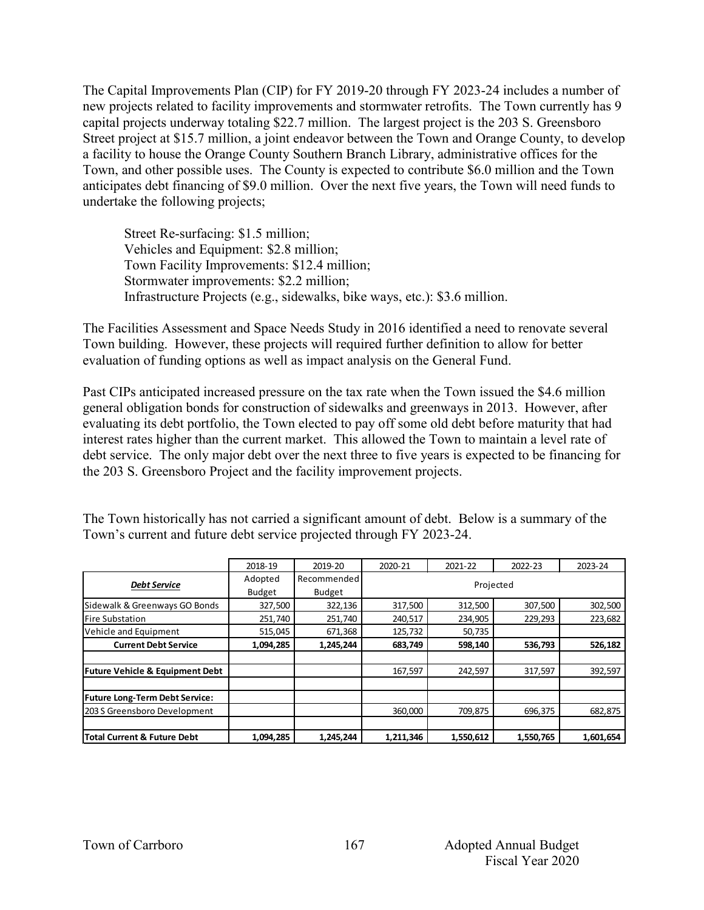The Capital Improvements Plan (CIP) for FY 2019-20 through FY 2023-24 includes a number of new projects related to facility improvements and stormwater retrofits. The Town currently has 9 capital projects underway totaling \$22.7 million. The largest project is the 203 S. Greensboro Street project at \$15.7 million, a joint endeavor between the Town and Orange County, to develop a facility to house the Orange County Southern Branch Library, administrative offices for the Town, and other possible uses. The County is expected to contribute \$6.0 million and the Town anticipates debt financing of \$9.0 million. Over the next five years, the Town will need funds to undertake the following projects;

Street Re-surfacing: \$1.5 million; Vehicles and Equipment: \$2.8 million; Town Facility Improvements: \$12.4 million; Stormwater improvements: \$2.2 million; Infrastructure Projects (e.g., sidewalks, bike ways, etc.): \$3.6 million.

The Facilities Assessment and Space Needs Study in 2016 identified a need to renovate several Town building. However, these projects will required further definition to allow for better evaluation of funding options as well as impact analysis on the General Fund.

Past CIPs anticipated increased pressure on the tax rate when the Town issued the \$4.6 million general obligation bonds for construction of sidewalks and greenways in 2013. However, after evaluating its debt portfolio, the Town elected to pay off some old debt before maturity that had interest rates higher than the current market. This allowed the Town to maintain a level rate of debt service. The only major debt over the next three to five years is expected to be financing for the 203 S. Greensboro Project and the facility improvement projects.

|                                            | 2018-19       | 2019-20       | 2020-21   | 2021-22   | 2022-23   | 2023-24   |  |
|--------------------------------------------|---------------|---------------|-----------|-----------|-----------|-----------|--|
| <b>Debt Service</b>                        | Adopted       | Recommended   |           |           |           |           |  |
|                                            | <b>Budget</b> | <b>Budget</b> | Projected |           |           |           |  |
| Sidewalk & Greenways GO Bonds              | 327,500       | 322,136       | 317,500   | 312,500   | 307,500   | 302,500   |  |
| <b>Fire Substation</b>                     | 251,740       | 251,740       | 240,517   | 234,905   | 229,293   | 223,682   |  |
| Vehicle and Equipment                      | 515,045       | 671,368       | 125,732   | 50,735    |           |           |  |
| <b>Current Debt Service</b>                | 1,094,285     | 1,245,244     | 683,749   | 598,140   | 536,793   | 526,182   |  |
|                                            |               |               |           |           |           |           |  |
| <b>Future Vehicle &amp; Equipment Debt</b> |               |               | 167,597   | 242,597   | 317,597   | 392,597   |  |
|                                            |               |               |           |           |           |           |  |
| <b>Future Long-Term Debt Service:</b>      |               |               |           |           |           |           |  |
| 203 S Greensboro Development               |               |               | 360.000   | 709,875   | 696,375   | 682,875   |  |
|                                            |               |               |           |           |           |           |  |
| Total Current & Future Debt                | 1,094,285     | 1,245,244     | 1,211,346 | 1,550,612 | 1,550,765 | 1,601,654 |  |

The Town historically has not carried a significant amount of debt. Below is a summary of the Town's current and future debt service projected through FY 2023-24.